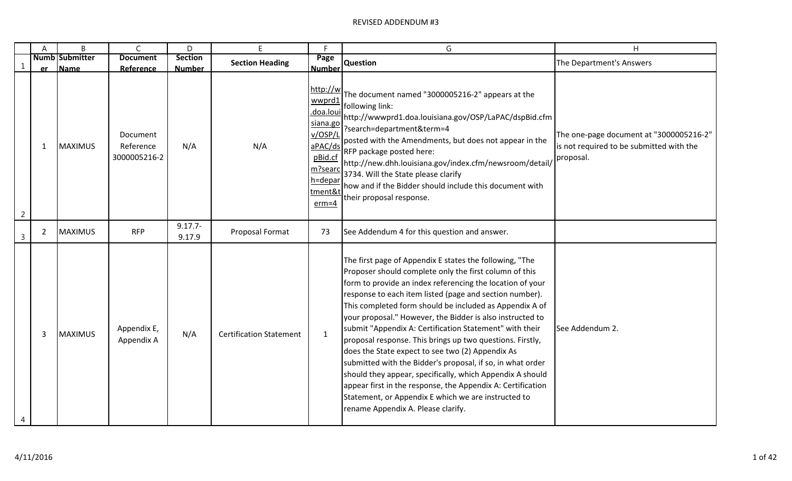|                | A            | B                     | $\mathsf{C}$                          | D                    | E                              | F                                                                                                                      | G                                                                                                                                                                                                                                                                                                                                                                                                                                                                                                                                                                                                                                                                                                                                                                                                                                    | Η                                                                                                |
|----------------|--------------|-----------------------|---------------------------------------|----------------------|--------------------------------|------------------------------------------------------------------------------------------------------------------------|--------------------------------------------------------------------------------------------------------------------------------------------------------------------------------------------------------------------------------------------------------------------------------------------------------------------------------------------------------------------------------------------------------------------------------------------------------------------------------------------------------------------------------------------------------------------------------------------------------------------------------------------------------------------------------------------------------------------------------------------------------------------------------------------------------------------------------------|--------------------------------------------------------------------------------------------------|
|                |              | <b>Numb Submitter</b> | <b>Document</b>                       | <b>Section</b>       | <b>Section Heading</b>         | Page                                                                                                                   | <b>Question</b>                                                                                                                                                                                                                                                                                                                                                                                                                                                                                                                                                                                                                                                                                                                                                                                                                      | The Department's Answers                                                                         |
| $\mathbf{1}$   | er           | Name                  | Reference                             | <b>Number</b>        |                                | <b>Number</b>                                                                                                          |                                                                                                                                                                                                                                                                                                                                                                                                                                                                                                                                                                                                                                                                                                                                                                                                                                      |                                                                                                  |
| $\overline{2}$ | $\mathbf{1}$ | <b>MAXIMUS</b>        | Document<br>Reference<br>3000005216-2 | N/A                  | N/A                            | http://w<br>wwprd1<br>doa.lou.<br>siana.go<br>v/OSP/I<br>aPAC/ds<br>pBid.cf<br>m?searc<br>h=depar<br>tment&<br>$erm=4$ | The document named "3000005216-2" appears at the<br>following link:<br>http://wwwprd1.doa.louisiana.gov/OSP/LaPAC/dspBid.cfm<br>?search=department&term=4<br>posted with the Amendments, but does not appear in the<br>RFP package posted here:<br>http://new.dhh.louisiana.gov/index.cfm/newsroom/detail/<br>3734. Will the State please clarify<br>how and if the Bidder should include this document with<br>their proposal response.                                                                                                                                                                                                                                                                                                                                                                                             | The one-page document at "3000005216-2"<br>is not required to be submitted with the<br>proposal. |
| $\mathsf{3}$   | $2^{\circ}$  | <b>MAXIMUS</b>        | <b>RFP</b>                            | $9.17.7 -$<br>9.17.9 | Proposal Format                | 73                                                                                                                     | See Addendum 4 for this question and answer.                                                                                                                                                                                                                                                                                                                                                                                                                                                                                                                                                                                                                                                                                                                                                                                         |                                                                                                  |
| 4              | 3            | <b>MAXIMUS</b>        | Appendix E,<br>Appendix A             | N/A                  | <b>Certification Statement</b> | $\mathbf{1}$                                                                                                           | The first page of Appendix E states the following, "The<br>Proposer should complete only the first column of this<br>form to provide an index referencing the location of your<br>response to each item listed (page and section number).<br>This completed form should be included as Appendix A of<br>your proposal." However, the Bidder is also instructed to<br>submit "Appendix A: Certification Statement" with their<br>proposal response. This brings up two questions. Firstly,<br>does the State expect to see two (2) Appendix As<br>submitted with the Bidder's proposal, if so, in what order<br>should they appear, specifically, which Appendix A should<br>appear first in the response, the Appendix A: Certification<br>Statement, or Appendix E which we are instructed to<br>rename Appendix A. Please clarify. | See Addendum 2.                                                                                  |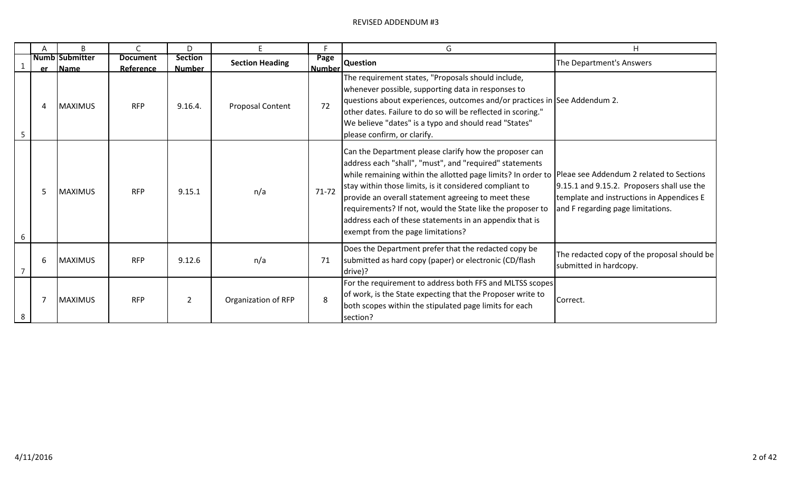|   |   | <sub>R</sub>              |                              | D.                              | E.                      | Е                     | G                                                                                                                                                                                                                                                                                                                                                                                                                                                                                                           | H                                                                                                                            |
|---|---|---------------------------|------------------------------|---------------------------------|-------------------------|-----------------------|-------------------------------------------------------------------------------------------------------------------------------------------------------------------------------------------------------------------------------------------------------------------------------------------------------------------------------------------------------------------------------------------------------------------------------------------------------------------------------------------------------------|------------------------------------------------------------------------------------------------------------------------------|
|   |   | Numb Submitter<br>er Name | <b>Document</b><br>Reference | <b>Section</b><br><b>Number</b> | <b>Section Heading</b>  | Page<br><b>Number</b> | <b>Question</b>                                                                                                                                                                                                                                                                                                                                                                                                                                                                                             | The Department's Answers                                                                                                     |
|   | Δ | <b>MAXIMUS</b>            | <b>RFP</b>                   | 9.16.4.                         | <b>Proposal Content</b> | 72                    | The requirement states, "Proposals should include,<br>whenever possible, supporting data in responses to<br>questions about experiences, outcomes and/or practices in See Addendum 2.<br>other dates. Failure to do so will be reflected in scoring."<br>We believe "dates" is a typo and should read "States"<br>please confirm, or clarify.                                                                                                                                                               |                                                                                                                              |
|   | 5 | <b>MAXIMUS</b>            | <b>RFP</b>                   | 9.15.1                          | n/a                     | $71 - 72$             | Can the Department please clarify how the proposer can<br>address each "shall", "must", and "required" statements<br>while remaining within the allotted page limits? In order to  Pleae see Addendum 2 related to Sections<br>stay within those limits, is it considered compliant to<br>provide an overall statement agreeing to meet these<br>requirements? If not, would the State like the proposer to<br>address each of these statements in an appendix that is<br>exempt from the page limitations? | 9.15.1 and 9.15.2. Proposers shall use the<br>template and instructions in Appendices E<br>and F regarding page limitations. |
|   | 6 | <b>MAXIMUS</b>            | <b>RFP</b>                   | 9.12.6                          | n/a                     | 71                    | Does the Department prefer that the redacted copy be<br>submitted as hard copy (paper) or electronic (CD/flash<br>drive)?                                                                                                                                                                                                                                                                                                                                                                                   | The redacted copy of the proposal should be<br>submitted in hardcopy.                                                        |
| 8 |   | <b>MAXIMUS</b>            | <b>RFP</b>                   | 2                               | Organization of RFP     | 8                     | For the requirement to address both FFS and MLTSS scopes<br>of work, is the State expecting that the Proposer write to<br>both scopes within the stipulated page limits for each<br>section?                                                                                                                                                                                                                                                                                                                | Correct.                                                                                                                     |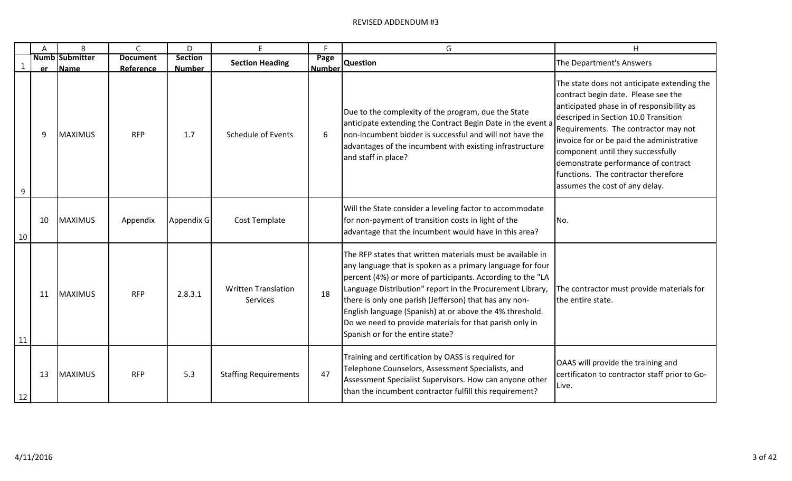|              | A         | B                             | C                            | D                               | F                                             | E                     | G                                                                                                                                                                                                                                                                                                                                                                                                                                                                        | H                                                                                                                                                                                                                                                                                                                                                                                                                 |
|--------------|-----------|-------------------------------|------------------------------|---------------------------------|-----------------------------------------------|-----------------------|--------------------------------------------------------------------------------------------------------------------------------------------------------------------------------------------------------------------------------------------------------------------------------------------------------------------------------------------------------------------------------------------------------------------------------------------------------------------------|-------------------------------------------------------------------------------------------------------------------------------------------------------------------------------------------------------------------------------------------------------------------------------------------------------------------------------------------------------------------------------------------------------------------|
| $\mathbf{1}$ | <b>er</b> | <b>Numb Submitter</b><br>Name | <b>Document</b><br>Reference | <b>Section</b><br><b>Number</b> | <b>Section Heading</b>                        | Page<br><b>Number</b> | <b>Question</b>                                                                                                                                                                                                                                                                                                                                                                                                                                                          | The Department's Answers                                                                                                                                                                                                                                                                                                                                                                                          |
| 9            | q         | <b>MAXIMUS</b>                | <b>RFP</b>                   | 1.7                             | <b>Schedule of Events</b>                     | 6                     | Due to the complexity of the program, due the State<br>anticipate extending the Contract Begin Date in the event a<br>non-incumbent bidder is successful and will not have the<br>advantages of the incumbent with existing infrastructure<br>and staff in place?                                                                                                                                                                                                        | The state does not anticipate extending the<br>contract begin date. Please see the<br>anticipated phase in of responsibility as<br>descriped in Section 10.0 Transition<br>Requirements. The contractor may not<br>invoice for or be paid the administrative<br>component until they successfully<br>demonstrate performance of contract<br>functions. The contractor therefore<br>assumes the cost of any delay. |
| 10           | 10        | <b>MAXIMUS</b>                | Appendix                     | Appendix G                      | Cost Template                                 |                       | Will the State consider a leveling factor to accommodate<br>for non-payment of transition costs in light of the<br>advantage that the incumbent would have in this area?                                                                                                                                                                                                                                                                                                 | No.                                                                                                                                                                                                                                                                                                                                                                                                               |
| 11           | 11        | <b>MAXIMUS</b>                | <b>RFP</b>                   | 2.8.3.1                         | <b>Written Translation</b><br><b>Services</b> | 18                    | The RFP states that written materials must be available in<br>any language that is spoken as a primary language for four<br>percent (4%) or more of participants. According to the "LA<br>Language Distribution" report in the Procurement Library,<br>there is only one parish (Jefferson) that has any non-<br>English language (Spanish) at or above the 4% threshold.<br>Do we need to provide materials for that parish only in<br>Spanish or for the entire state? | The contractor must provide materials for<br>the entire state.                                                                                                                                                                                                                                                                                                                                                    |
| 12           | 13        | <b>MAXIMUS</b>                | <b>RFP</b>                   | 5.3                             | <b>Staffing Requirements</b>                  | 47                    | Training and certification by OASS is required for<br>Telephone Counselors, Assessment Specialists, and<br>Assessment Specialist Supervisors. How can anyone other<br>than the incumbent contractor fulfill this requirement?                                                                                                                                                                                                                                            | OAAS will provide the training and<br>certificaton to contractor staff prior to Go-<br>Live.                                                                                                                                                                                                                                                                                                                      |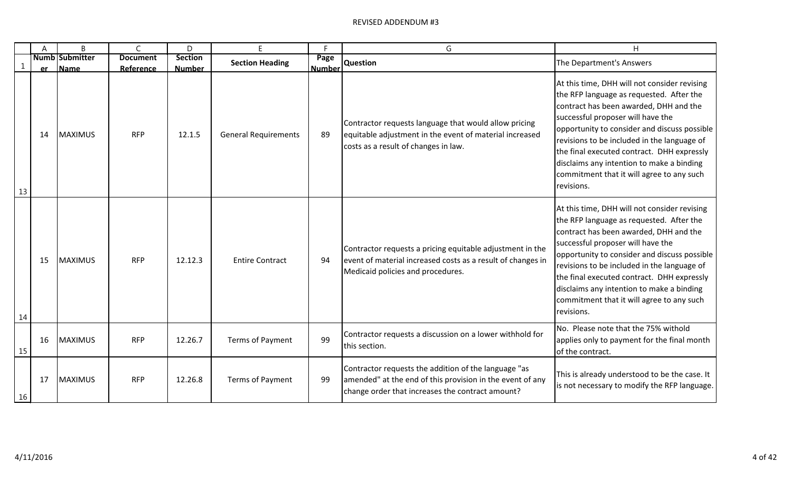|              | A         | B                             | C                            | D                               | F                           |                       | G                                                                                                                                                                     | H                                                                                                                                                                                                                                                                                                                                                                                                                            |
|--------------|-----------|-------------------------------|------------------------------|---------------------------------|-----------------------------|-----------------------|-----------------------------------------------------------------------------------------------------------------------------------------------------------------------|------------------------------------------------------------------------------------------------------------------------------------------------------------------------------------------------------------------------------------------------------------------------------------------------------------------------------------------------------------------------------------------------------------------------------|
| $\mathbf{1}$ | <b>er</b> | <b>Numb Submitter</b><br>Name | <b>Document</b><br>Reference | <b>Section</b><br><b>Number</b> | <b>Section Heading</b>      | Page<br><b>Number</b> | <b>Question</b>                                                                                                                                                       | The Department's Answers                                                                                                                                                                                                                                                                                                                                                                                                     |
| 13           | 14        | <b>MAXIMUS</b>                | <b>RFP</b>                   | 12.1.5                          | <b>General Requirements</b> | 89                    | Contractor requests language that would allow pricing<br>equitable adjustment in the event of material increased<br>costs as a result of changes in law.              | At this time, DHH will not consider revising<br>the RFP language as requested. After the<br>contract has been awarded, DHH and the<br>successful proposer will have the<br>opportunity to consider and discuss possible<br>revisions to be included in the language of<br>the final executed contract. DHH expressly<br>disclaims any intention to make a binding<br>commitment that it will agree to any such<br>revisions. |
| 14           | 15        | <b>MAXIMUS</b>                | <b>RFP</b>                   | 12.12.3                         | <b>Entire Contract</b>      | 94                    | Contractor requests a pricing equitable adjustment in the<br>event of material increased costs as a result of changes in<br>Medicaid policies and procedures.         | At this time, DHH will not consider revising<br>the RFP language as requested. After the<br>contract has been awarded, DHH and the<br>successful proposer will have the<br>opportunity to consider and discuss possible<br>revisions to be included in the language of<br>the final executed contract. DHH expressly<br>disclaims any intention to make a binding<br>commitment that it will agree to any such<br>revisions. |
| 15           | 16        | <b>MAXIMUS</b>                | <b>RFP</b>                   | 12.26.7                         | Terms of Payment            | 99                    | Contractor requests a discussion on a lower withhold for<br>this section.                                                                                             | No. Please note that the 75% withold<br>applies only to payment for the final month<br>of the contract.                                                                                                                                                                                                                                                                                                                      |
| 16           | 17        | <b>MAXIMUS</b>                | <b>RFP</b>                   | 12.26.8                         | Terms of Payment            | 99                    | Contractor requests the addition of the language "as<br>amended" at the end of this provision in the event of any<br>change order that increases the contract amount? | This is already understood to be the case. It<br>is not necessary to modify the RFP language.                                                                                                                                                                                                                                                                                                                                |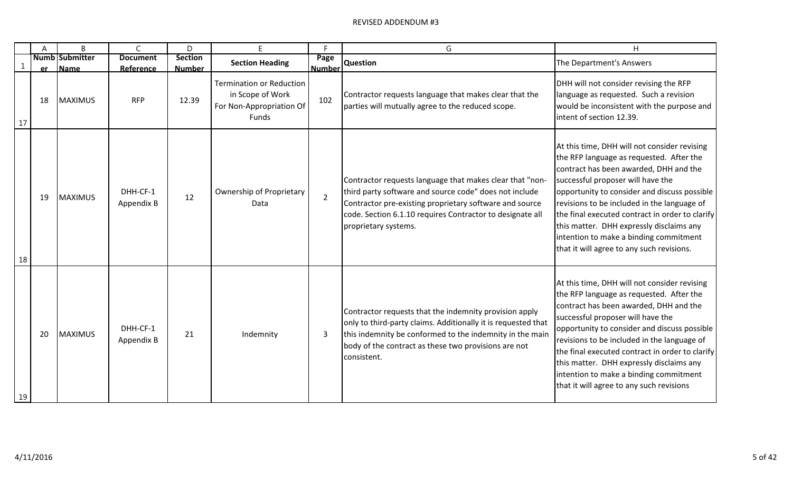|              | A         | B                                    | C                            | D                        |                                                                                          | c                     | G                                                                                                                                                                                                                                                                  | н                                                                                                                                                                                                                                                                                                                                                                                                                                                            |
|--------------|-----------|--------------------------------------|------------------------------|--------------------------|------------------------------------------------------------------------------------------|-----------------------|--------------------------------------------------------------------------------------------------------------------------------------------------------------------------------------------------------------------------------------------------------------------|--------------------------------------------------------------------------------------------------------------------------------------------------------------------------------------------------------------------------------------------------------------------------------------------------------------------------------------------------------------------------------------------------------------------------------------------------------------|
| $\mathbf{1}$ | <b>er</b> | <b>Numb Submitter</b><br><b>Name</b> | <b>Document</b><br>Reference | Section<br><b>Number</b> | <b>Section Heading</b>                                                                   | Page<br><b>Number</b> | <b>Question</b>                                                                                                                                                                                                                                                    | The Department's Answers                                                                                                                                                                                                                                                                                                                                                                                                                                     |
| 17           | 18        | <b>MAXIMUS</b>                       | <b>RFP</b>                   | 12.39                    | <b>Termination or Reduction</b><br>in Scope of Work<br>For Non-Appropriation Of<br>Funds | 102                   | Contractor requests language that makes clear that the<br>parties will mutually agree to the reduced scope.                                                                                                                                                        | DHH will not consider revising the RFP<br>language as requested. Such a revision<br>would be inconsistent with the purpose and<br>intent of section 12.39.                                                                                                                                                                                                                                                                                                   |
| 18           | 19        | <b>MAXIMUS</b>                       | DHH-CF-1<br>Appendix B       | 12                       | Ownership of Proprietary<br>Data                                                         | $\overline{2}$        | Contractor requests language that makes clear that "non-<br>third party software and source code" does not include<br>Contractor pre-existing proprietary software and source<br>code. Section 6.1.10 requires Contractor to designate all<br>proprietary systems. | At this time, DHH will not consider revising<br>the RFP language as requested. After the<br>contract has been awarded, DHH and the<br>successful proposer will have the<br>opportunity to consider and discuss possible<br>revisions to be included in the language of<br>the final executed contract in order to clarify<br>this matter. DHH expressly disclaims any<br>intention to make a binding commitment<br>that it will agree to any such revisions. |
| 19           | 20        | <b>MAXIMUS</b>                       | DHH-CF-1<br>Appendix B       | 21                       | Indemnity                                                                                | 3                     | Contractor requests that the indemnity provision apply<br>only to third-party claims. Additionally it is requested that<br>this indemnity be conformed to the indemnity in the main<br>body of the contract as these two provisions are not<br>consistent.         | At this time, DHH will not consider revising<br>the RFP language as requested. After the<br>contract has been awarded, DHH and the<br>successful proposer will have the<br>opportunity to consider and discuss possible<br>revisions to be included in the language of<br>the final executed contract in order to clarify<br>this matter. DHH expressly disclaims any<br>intention to make a binding commitment<br>that it will agree to any such revisions  |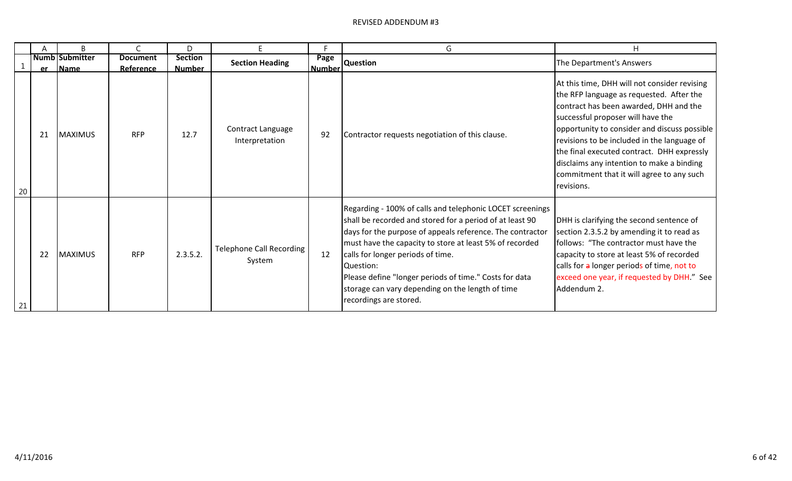|    |           | B                                    |                              | D                               |                                           |                       | G                                                                                                                                                                                                                                                                                                                                                                                                                                       | H                                                                                                                                                                                                                                                                                                                                                                                                                            |
|----|-----------|--------------------------------------|------------------------------|---------------------------------|-------------------------------------------|-----------------------|-----------------------------------------------------------------------------------------------------------------------------------------------------------------------------------------------------------------------------------------------------------------------------------------------------------------------------------------------------------------------------------------------------------------------------------------|------------------------------------------------------------------------------------------------------------------------------------------------------------------------------------------------------------------------------------------------------------------------------------------------------------------------------------------------------------------------------------------------------------------------------|
|    | <b>er</b> | <b>Numb Submitter</b><br><b>Name</b> | <b>Document</b><br>Reference | <b>Section</b><br><b>Number</b> | <b>Section Heading</b>                    | Page<br><b>Number</b> | <b>Question</b>                                                                                                                                                                                                                                                                                                                                                                                                                         | The Department's Answers                                                                                                                                                                                                                                                                                                                                                                                                     |
| 20 | 21        | <b>MAXIMUS</b>                       | <b>RFP</b>                   | 12.7                            | Contract Language<br>Interpretation       | 92                    | Contractor requests negotiation of this clause.                                                                                                                                                                                                                                                                                                                                                                                         | At this time, DHH will not consider revising<br>the RFP language as requested. After the<br>contract has been awarded, DHH and the<br>successful proposer will have the<br>opportunity to consider and discuss possible<br>revisions to be included in the language of<br>the final executed contract. DHH expressly<br>disclaims any intention to make a binding<br>commitment that it will agree to any such<br>revisions. |
| 21 | 22        | <b>MAXIMUS</b>                       | <b>RFP</b>                   | 2.3.5.2.                        | <b>Telephone Call Recording</b><br>System | 12                    | Regarding - 100% of calls and telephonic LOCET screenings<br>shall be recorded and stored for a period of at least 90<br>days for the purpose of appeals reference. The contractor<br>must have the capacity to store at least 5% of recorded<br>calls for longer periods of time.<br>Ouestion:<br>Please define "longer periods of time." Costs for data<br>storage can vary depending on the length of time<br>recordings are stored. | DHH is clarifying the second sentence of<br>section 2.3.5.2 by amending it to read as<br>follows: "The contractor must have the<br>capacity to store at least 5% of recorded<br>calls for a longer periods of time, not to<br>exceed one year, if requested by DHH." See<br>Addendum 2.                                                                                                                                      |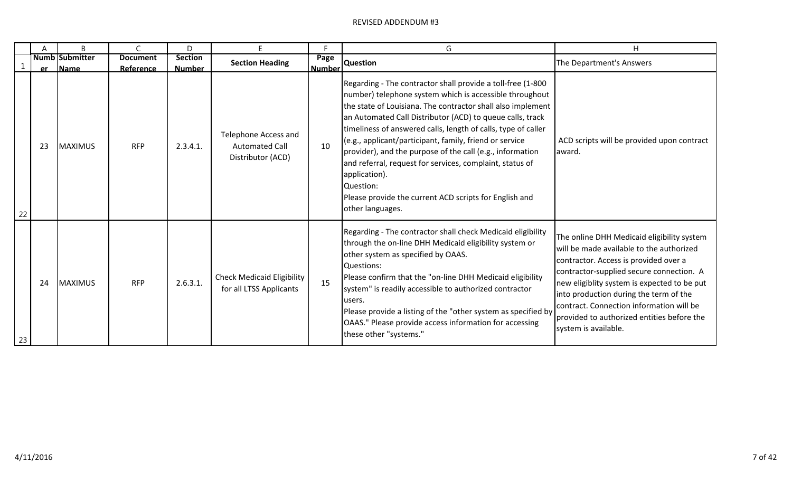|    | A  | B                     | $\mathsf{C}$    | D              | E                                                                  | Е             | G                                                                                                                                                                                                                                                                                                                                                                                                                                                                                                                                                                                                                   | H                                                                                                                                                                                                                                                                                                                                                                                      |
|----|----|-----------------------|-----------------|----------------|--------------------------------------------------------------------|---------------|---------------------------------------------------------------------------------------------------------------------------------------------------------------------------------------------------------------------------------------------------------------------------------------------------------------------------------------------------------------------------------------------------------------------------------------------------------------------------------------------------------------------------------------------------------------------------------------------------------------------|----------------------------------------------------------------------------------------------------------------------------------------------------------------------------------------------------------------------------------------------------------------------------------------------------------------------------------------------------------------------------------------|
|    |    | <b>Numb Submitter</b> | <b>Document</b> | <b>Section</b> | <b>Section Heading</b>                                             | Page          | <b>Question</b>                                                                                                                                                                                                                                                                                                                                                                                                                                                                                                                                                                                                     | The Department's Answers                                                                                                                                                                                                                                                                                                                                                               |
|    |    | er Name               | Reference       | <b>Number</b>  |                                                                    | <b>Number</b> |                                                                                                                                                                                                                                                                                                                                                                                                                                                                                                                                                                                                                     |                                                                                                                                                                                                                                                                                                                                                                                        |
| 22 | 23 | <b>MAXIMUS</b>        | <b>RFP</b>      | 2.3.4.1        | Telephone Access and<br><b>Automated Call</b><br>Distributor (ACD) | 10            | Regarding - The contractor shall provide a toll-free (1-800<br>number) telephone system which is accessible throughout<br>the state of Louisiana. The contractor shall also implement<br>an Automated Call Distributor (ACD) to queue calls, track<br>timeliness of answered calls, length of calls, type of caller<br>(e.g., applicant/participant, family, friend or service<br>provider), and the purpose of the call (e.g., information<br>and referral, request for services, complaint, status of<br>application).<br>Question:<br>Please provide the current ACD scripts for English and<br>other languages. | ACD scripts will be provided upon contract<br>award.                                                                                                                                                                                                                                                                                                                                   |
| 23 | 24 | <b>MAXIMUS</b>        | <b>RFP</b>      | 2.6.3.1.       | <b>Check Medicaid Eligibility</b><br>for all LTSS Applicants       | 15            | Regarding - The contractor shall check Medicaid eligibility<br>through the on-line DHH Medicaid eligibility system or<br>other system as specified by OAAS.<br>Questions:<br>Please confirm that the "on-line DHH Medicaid eligibility<br>system" is readily accessible to authorized contractor<br>users.<br>Please provide a listing of the "other system as specified by<br>OAAS." Please provide access information for accessing<br>these other "systems."                                                                                                                                                     | The online DHH Medicaid eligibility system<br>will be made available to the authorized<br>contractor. Access is provided over a<br>contractor-supplied secure connection. A<br>new eligiblity system is expected to be put<br>into production during the term of the<br>contract. Connection information will be<br>provided to authorized entities before the<br>system is available. |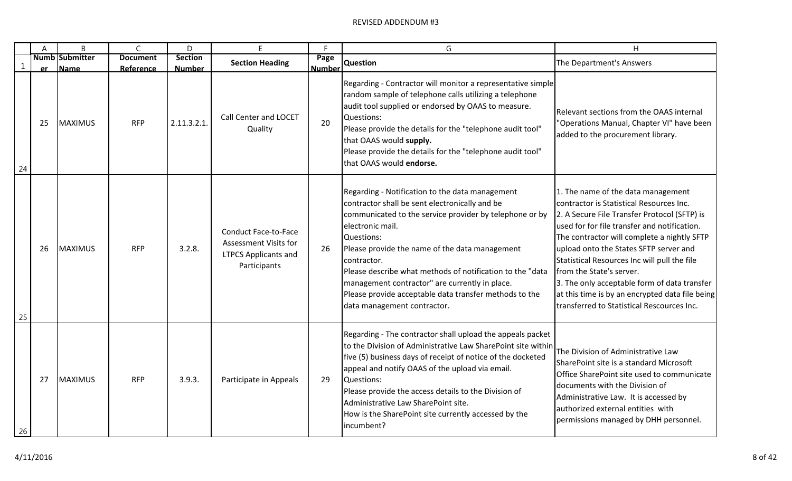|    | Α  | B                             | $\mathsf{C}$                 | D                               | F                                                                                                   | F.                    | G                                                                                                                                                                                                                                                                                                                                                                                                                                                                       | H                                                                                                                                                                                                                                                                                                                                                                                                                                                                                                    |
|----|----|-------------------------------|------------------------------|---------------------------------|-----------------------------------------------------------------------------------------------------|-----------------------|-------------------------------------------------------------------------------------------------------------------------------------------------------------------------------------------------------------------------------------------------------------------------------------------------------------------------------------------------------------------------------------------------------------------------------------------------------------------------|------------------------------------------------------------------------------------------------------------------------------------------------------------------------------------------------------------------------------------------------------------------------------------------------------------------------------------------------------------------------------------------------------------------------------------------------------------------------------------------------------|
| 1  | er | <b>Numb Submitter</b><br>Name | <b>Document</b><br>Reference | <b>Section</b><br><b>Number</b> | <b>Section Heading</b>                                                                              | Page<br><b>Number</b> | <b>Question</b>                                                                                                                                                                                                                                                                                                                                                                                                                                                         | The Department's Answers                                                                                                                                                                                                                                                                                                                                                                                                                                                                             |
| 24 | 25 | <b>MAXIMUS</b>                | <b>RFP</b>                   | 2.11.3.2.1.                     | Call Center and LOCET<br>Quality                                                                    | 20                    | Regarding - Contractor will monitor a representative simple<br>random sample of telephone calls utilizing a telephone<br>audit tool supplied or endorsed by OAAS to measure.<br>Questions:<br>Please provide the details for the "telephone audit tool"<br>that OAAS would supply.<br>Please provide the details for the "telephone audit tool"<br>that OAAS would endorse.                                                                                             | Relevant sections from the OAAS internal<br>"Operations Manual, Chapter VI" have been<br>added to the procurement library.                                                                                                                                                                                                                                                                                                                                                                           |
| 25 | 26 | <b>MAXIMUS</b>                | <b>RFP</b>                   | 3.2.8.                          | <b>Conduct Face-to-Face</b><br>Assessment Visits for<br><b>LTPCS Applicants and</b><br>Participants | 26                    | Regarding - Notification to the data management<br>contractor shall be sent electronically and be<br>communicated to the service provider by telephone or by<br>electronic mail.<br>Questions:<br>Please provide the name of the data management<br>contractor.<br>Please describe what methods of notification to the "data<br>management contractor" are currently in place.<br>Please provide acceptable data transfer methods to the<br>data management contractor. | 1. The name of the data management<br>contractor is Statistical Resources Inc.<br>2. A Secure File Transfer Protocol (SFTP) is<br>used for for file transfer and notification.<br>The contractor will complete a nightly SFTP<br>upload onto the States SFTP server and<br>Statistical Resources Inc will pull the file<br>from the State's server.<br>3. The only acceptable form of data transfer<br>at this time is by an encrypted data file being<br>transferred to Statistical Rescources Inc. |
| 26 | 27 | <b>MAXIMUS</b>                | <b>RFP</b>                   | 3.9.3.                          | Participate in Appeals                                                                              | 29                    | Regarding - The contractor shall upload the appeals packet<br>to the Division of Administrative Law SharePoint site within<br>five (5) business days of receipt of notice of the docketed<br>appeal and notify OAAS of the upload via email.<br>Questions:<br>Please provide the access details to the Division of<br>Administrative Law SharePoint site.<br>How is the SharePoint site currently accessed by the<br>incumbent?                                         | The Division of Administrative Law<br>SharePoint site is a standard Microsoft<br>Office SharePoint site used to communicate<br>documents with the Division of<br>Administrative Law. It is accessed by<br>authorized external entities with<br>permissions managed by DHH personnel.                                                                                                                                                                                                                 |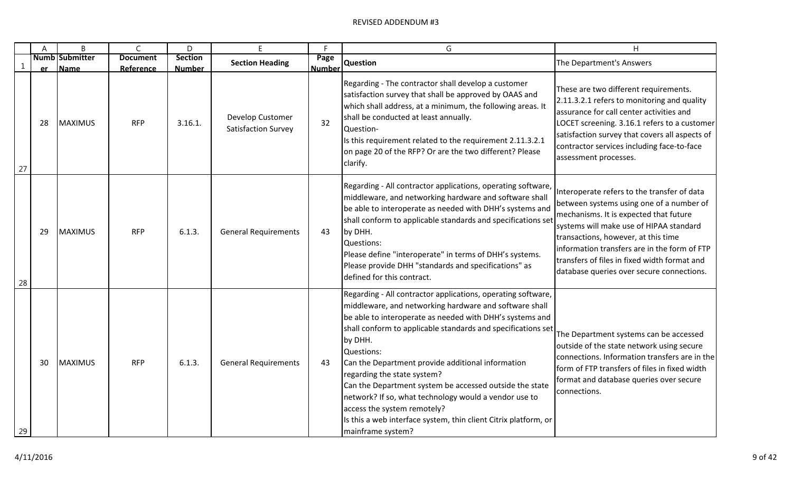|    | A  | B                             | $\mathsf C$                  | D                               | F                                              | F                     | G                                                                                                                                                                                                                                                                                                                                                                                                                                                                                                                                                                                                          | H                                                                                                                                                                                                                                                                                                                                                                |
|----|----|-------------------------------|------------------------------|---------------------------------|------------------------------------------------|-----------------------|------------------------------------------------------------------------------------------------------------------------------------------------------------------------------------------------------------------------------------------------------------------------------------------------------------------------------------------------------------------------------------------------------------------------------------------------------------------------------------------------------------------------------------------------------------------------------------------------------------|------------------------------------------------------------------------------------------------------------------------------------------------------------------------------------------------------------------------------------------------------------------------------------------------------------------------------------------------------------------|
| 1  | er | <b>Numb Submitter</b><br>Name | <b>Document</b><br>Reference | <b>Section</b><br><b>Number</b> | <b>Section Heading</b>                         | Page<br><b>Number</b> | <b>Question</b>                                                                                                                                                                                                                                                                                                                                                                                                                                                                                                                                                                                            | The Department's Answers                                                                                                                                                                                                                                                                                                                                         |
| 27 | 28 | <b>MAXIMUS</b>                | <b>RFP</b>                   | 3.16.1.                         | Develop Customer<br><b>Satisfaction Survey</b> | 32                    | Regarding - The contractor shall develop a customer<br>satisfaction survey that shall be approved by OAAS and<br>which shall address, at a minimum, the following areas. It<br>shall be conducted at least annually.<br>Question-<br>Is this requirement related to the requirement 2.11.3.2.1<br>on page 20 of the RFP? Or are the two different? Please<br>clarify.                                                                                                                                                                                                                                      | These are two different requirements.<br>2.11.3.2.1 refers to monitoring and quality<br>assurance for call center activities and<br>LOCET screening. 3.16.1 refers to a customer<br>satisfaction survey that covers all aspects of<br>contractor services including face-to-face<br>assessment processes.                                                        |
| 28 | 29 | <b>MAXIMUS</b>                | <b>RFP</b>                   | 6.1.3.                          | <b>General Requirements</b>                    | 43                    | Regarding - All contractor applications, operating software,<br>middleware, and networking hardware and software shall<br>be able to interoperate as needed with DHH's systems and<br>shall conform to applicable standards and specifications set<br>by DHH.<br>Questions:<br>Please define "interoperate" in terms of DHH's systems.<br>Please provide DHH "standards and specifications" as<br>defined for this contract.                                                                                                                                                                               | Interoperate refers to the transfer of data<br>between systems using one of a number of<br>mechanisms. It is expected that future<br>systems will make use of HIPAA standard<br>transactions, however, at this time<br>information transfers are in the form of FTP<br>transfers of files in fixed width format and<br>database queries over secure connections. |
| 29 | 30 | <b>MAXIMUS</b>                | <b>RFP</b>                   | 6.1.3.                          | <b>General Requirements</b>                    | 43                    | Regarding - All contractor applications, operating software,<br>middleware, and networking hardware and software shall<br>be able to interoperate as needed with DHH's systems and<br>shall conform to applicable standards and specifications set<br>by DHH.<br>Questions:<br>Can the Department provide additional information<br>regarding the state system?<br>Can the Department system be accessed outside the state<br>network? If so, what technology would a vendor use to<br>access the system remotely?<br>Is this a web interface system, thin client Citrix platform, or<br>mainframe system? | The Department systems can be accessed<br>outside of the state network using secure<br>connections. Information transfers are in the<br>form of FTP transfers of files in fixed width<br>format and database queries over secure<br>connections.                                                                                                                 |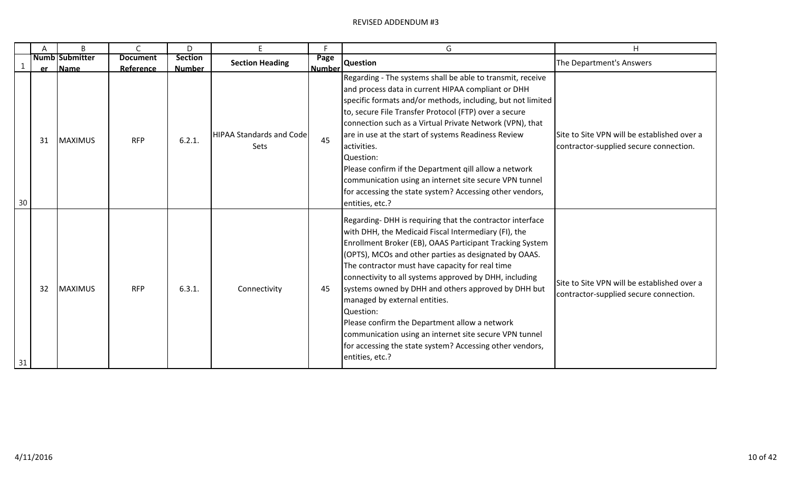|    |    | B                         | $\mathsf{C}$            | D                       | E                                       | F                   | G                                                                                                                                                                                                                                                                                                                                                                                                                                                                                                                                                                                                                                                 | H                                                                                     |
|----|----|---------------------------|-------------------------|-------------------------|-----------------------------------------|---------------------|---------------------------------------------------------------------------------------------------------------------------------------------------------------------------------------------------------------------------------------------------------------------------------------------------------------------------------------------------------------------------------------------------------------------------------------------------------------------------------------------------------------------------------------------------------------------------------------------------------------------------------------------------|---------------------------------------------------------------------------------------|
|    |    | Numb Submitter            | <b>Document</b>         | <b>Section</b>          | <b>Section Heading</b>                  | Page                | <b>Question</b>                                                                                                                                                                                                                                                                                                                                                                                                                                                                                                                                                                                                                                   | The Department's Answers                                                              |
| 30 | 31 | er Name<br><b>MAXIMUS</b> | Reference<br><b>RFP</b> | <b>Number</b><br>6.2.1. | <b>HIPAA Standards and Code</b><br>Sets | <b>Number</b><br>45 | Regarding - The systems shall be able to transmit, receive<br>and process data in current HIPAA compliant or DHH<br>specific formats and/or methods, including, but not limited<br>to, secure File Transfer Protocol (FTP) over a secure<br>connection such as a Virtual Private Network (VPN), that<br>are in use at the start of systems Readiness Review<br>activities.<br>Question:<br>Please confirm if the Department gill allow a network<br>communication using an internet site secure VPN tunnel<br>for accessing the state system? Accessing other vendors,<br>entities, etc.?                                                         | Site to Site VPN will be established over a<br>contractor-supplied secure connection. |
| 31 | 32 | <b>MAXIMUS</b>            | <b>RFP</b>              | 6.3.1.                  | Connectivity                            | 45                  | Regarding-DHH is requiring that the contractor interface<br>with DHH, the Medicaid Fiscal Intermediary (FI), the<br>Enrollment Broker (EB), OAAS Participant Tracking System<br>(OPTS), MCOs and other parties as designated by OAAS.<br>The contractor must have capacity for real time<br>connectivity to all systems approved by DHH, including<br>systems owned by DHH and others approved by DHH but<br>managed by external entities.<br>Question:<br>Please confirm the Department allow a network<br>communication using an internet site secure VPN tunnel<br>for accessing the state system? Accessing other vendors,<br>entities, etc.? | Site to Site VPN will be established over a<br>contractor-supplied secure connection. |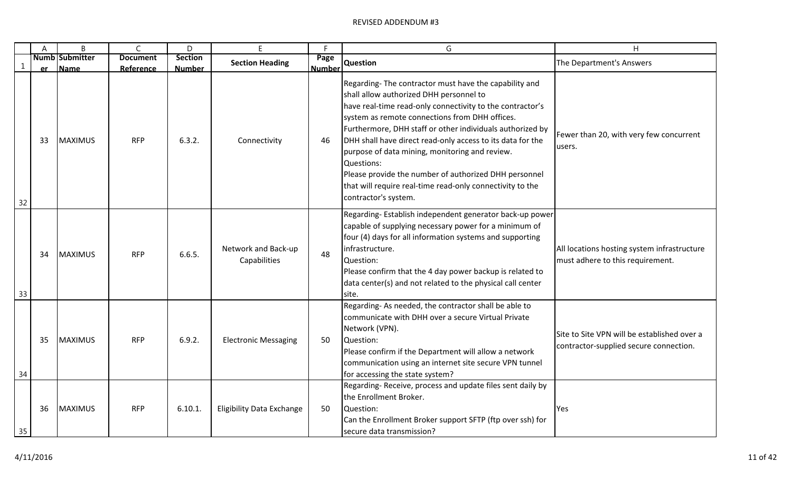|    | A  | B                     | $\mathsf C$     | D              | F                                   | F.            | G                                                                                                                                                                                                                                                                                                                                                                                                                                                                                                                                                        | H                                                                                     |
|----|----|-----------------------|-----------------|----------------|-------------------------------------|---------------|----------------------------------------------------------------------------------------------------------------------------------------------------------------------------------------------------------------------------------------------------------------------------------------------------------------------------------------------------------------------------------------------------------------------------------------------------------------------------------------------------------------------------------------------------------|---------------------------------------------------------------------------------------|
| -1 |    | <b>Numb Submitter</b> | <b>Document</b> | <b>Section</b> | <b>Section Heading</b>              | Page          | <b>Question</b>                                                                                                                                                                                                                                                                                                                                                                                                                                                                                                                                          | The Department's Answers                                                              |
|    | er | Name                  | Reference       | <b>Number</b>  |                                     | <b>Number</b> |                                                                                                                                                                                                                                                                                                                                                                                                                                                                                                                                                          |                                                                                       |
| 32 | 33 | <b>MAXIMUS</b>        | <b>RFP</b>      | 6.3.2.         | Connectivity                        | 46            | Regarding-The contractor must have the capability and<br>shall allow authorized DHH personnel to<br>have real-time read-only connectivity to the contractor's<br>system as remote connections from DHH offices.<br>Furthermore, DHH staff or other individuals authorized by<br>DHH shall have direct read-only access to its data for the<br>purpose of data mining, monitoring and review.<br>Questions:<br>Please provide the number of authorized DHH personnel<br>that will require real-time read-only connectivity to the<br>contractor's system. | Fewer than 20, with very few concurrent<br>users.                                     |
| 33 | 34 | <b>MAXIMUS</b>        | <b>RFP</b>      | 6.6.5.         | Network and Back-up<br>Capabilities | 48            | Regarding-Establish independent generator back-up power<br>capable of supplying necessary power for a minimum of<br>four (4) days for all information systems and supporting<br>infrastructure.<br>Question:<br>Please confirm that the 4 day power backup is related to<br>data center(s) and not related to the physical call center<br>site.                                                                                                                                                                                                          | All locations hosting system infrastructure<br>must adhere to this requirement.       |
| 34 | 35 | <b>MAXIMUS</b>        | <b>RFP</b>      | 6.9.2.         | <b>Electronic Messaging</b>         | 50            | Regarding-As needed, the contractor shall be able to<br>communicate with DHH over a secure Virtual Private<br>Network (VPN).<br>Question:<br>Please confirm if the Department will allow a network<br>communication using an internet site secure VPN tunnel<br>for accessing the state system?                                                                                                                                                                                                                                                          | Site to Site VPN will be established over a<br>contractor-supplied secure connection. |
| 35 | 36 | <b>MAXIMUS</b>        | <b>RFP</b>      | 6.10.1.        | <b>Eligibility Data Exchange</b>    | 50            | Regarding-Receive, process and update files sent daily by<br>the Enrollment Broker.<br>Question:<br>Can the Enrollment Broker support SFTP (ftp over ssh) for<br>secure data transmission?                                                                                                                                                                                                                                                                                                                                                               | Yes                                                                                   |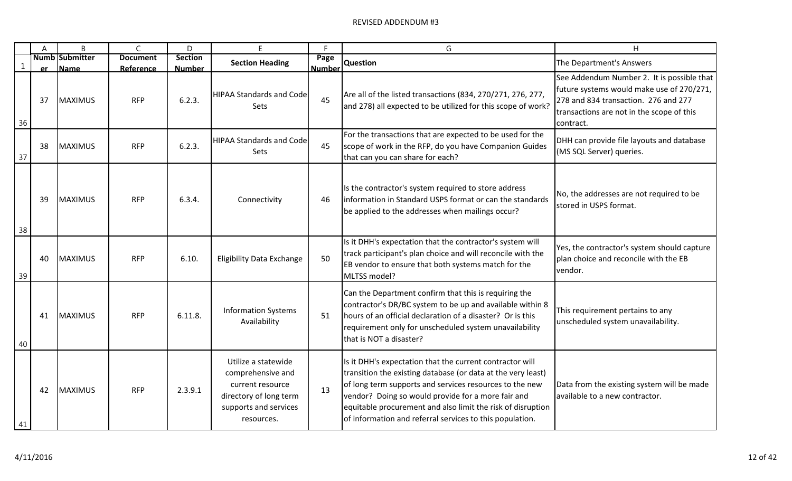|              | A  | B                                | $\mathsf{C}$                 | D                               | F                                                                                                                             | F                     | G                                                                                                                                                                                                                                                                                                                                                                    | H                                                                                                                                                                                         |
|--------------|----|----------------------------------|------------------------------|---------------------------------|-------------------------------------------------------------------------------------------------------------------------------|-----------------------|----------------------------------------------------------------------------------------------------------------------------------------------------------------------------------------------------------------------------------------------------------------------------------------------------------------------------------------------------------------------|-------------------------------------------------------------------------------------------------------------------------------------------------------------------------------------------|
| $\mathbf{1}$ |    | <b>Numb Submitter</b><br>er Name | <b>Document</b><br>Reference | <b>Section</b><br><b>Number</b> | <b>Section Heading</b>                                                                                                        | Page<br><b>Number</b> | <b>Question</b>                                                                                                                                                                                                                                                                                                                                                      | The Department's Answers                                                                                                                                                                  |
| 36           | 37 | <b>MAXIMUS</b>                   | <b>RFP</b>                   | 6.2.3.                          | <b>HIPAA Standards and Code</b><br>Sets                                                                                       | 45                    | Are all of the listed transactions (834, 270/271, 276, 277,<br>and 278) all expected to be utilized for this scope of work?                                                                                                                                                                                                                                          | See Addendum Number 2. It is possible that<br>future systems would make use of 270/271,<br>278 and 834 transaction. 276 and 277<br>transactions are not in the scope of this<br>contract. |
| 37           | 38 | <b>MAXIMUS</b>                   | <b>RFP</b>                   | 6.2.3.                          | <b>HIPAA Standards and Code</b><br><b>Sets</b>                                                                                | 45                    | For the transactions that are expected to be used for the<br>scope of work in the RFP, do you have Companion Guides<br>that can you can share for each?                                                                                                                                                                                                              | DHH can provide file layouts and database<br>(MS SQL Server) queries.                                                                                                                     |
| 38           | 39 | <b>MAXIMUS</b>                   | <b>RFP</b>                   | 6.3.4.                          | Connectivity                                                                                                                  | 46                    | Is the contractor's system required to store address<br>Information in Standard USPS format or can the standards<br>be applied to the addresses when mailings occur?                                                                                                                                                                                                 | No, the addresses are not required to be<br>stored in USPS format.                                                                                                                        |
| 39           | 40 | <b>MAXIMUS</b>                   | <b>RFP</b>                   | 6.10.                           | <b>Eligibility Data Exchange</b>                                                                                              | 50                    | Is it DHH's expectation that the contractor's system will<br>track participant's plan choice and will reconcile with the<br>EB vendor to ensure that both systems match for the<br>MLTSS model?                                                                                                                                                                      | Yes, the contractor's system should capture<br>plan choice and reconcile with the EB<br>vendor.                                                                                           |
| 40           | 41 | MAXIMUS                          | <b>RFP</b>                   | 6.11.8.                         | <b>Information Systems</b><br>Availability                                                                                    | 51                    | Can the Department confirm that this is requiring the<br>contractor's DR/BC system to be up and available within 8<br>hours of an official declaration of a disaster? Or is this<br>requirement only for unscheduled system unavailability<br>that is NOT a disaster?                                                                                                | This requirement pertains to any<br>unscheduled system unavailability.                                                                                                                    |
| 41           | 42 | <b>MAXIMUS</b>                   | <b>RFP</b>                   | 2.3.9.1                         | Utilize a statewide<br>comprehensive and<br>current resource<br>directory of long term<br>supports and services<br>resources. | 13                    | Is it DHH's expectation that the current contractor will<br>transition the existing database (or data at the very least)<br>of long term supports and services resources to the new<br>vendor? Doing so would provide for a more fair and<br>equitable procurement and also limit the risk of disruption<br>of information and referral services to this population. | Data from the existing system will be made<br>available to a new contractor.                                                                                                              |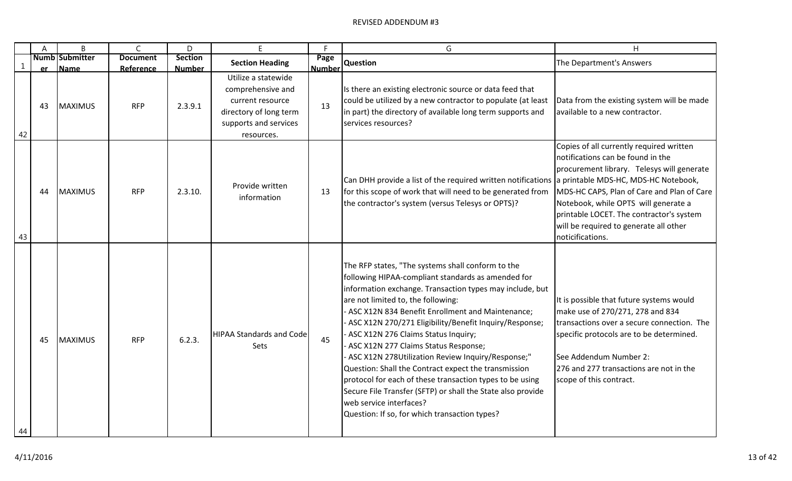|              | A  | $\mathsf B$                   | C                            | D                               | F                                                                                                                             | F.   | G                                                                                                                                                                                                                                                                                                                                                                                                                                                                                                                                                                                                                                                                                                                            | H                                                                                                                                                                                                                                                                                                                           |
|--------------|----|-------------------------------|------------------------------|---------------------------------|-------------------------------------------------------------------------------------------------------------------------------|------|------------------------------------------------------------------------------------------------------------------------------------------------------------------------------------------------------------------------------------------------------------------------------------------------------------------------------------------------------------------------------------------------------------------------------------------------------------------------------------------------------------------------------------------------------------------------------------------------------------------------------------------------------------------------------------------------------------------------------|-----------------------------------------------------------------------------------------------------------------------------------------------------------------------------------------------------------------------------------------------------------------------------------------------------------------------------|
| $\mathbf{1}$ | er | <b>Numb Submitter</b><br>Name | <b>Document</b><br>Reference | <b>Section</b><br><b>Number</b> | <b>Section Heading</b>                                                                                                        | Page | Number Question                                                                                                                                                                                                                                                                                                                                                                                                                                                                                                                                                                                                                                                                                                              | The Department's Answers                                                                                                                                                                                                                                                                                                    |
| 42           | 43 | MAXIMUS                       | <b>RFP</b>                   | 2.3.9.1                         | Utilize a statewide<br>comprehensive and<br>current resource<br>directory of long term<br>supports and services<br>resources. | 13   | Is there an existing electronic source or data feed that<br>could be utilized by a new contractor to populate (at least<br>in part) the directory of available long term supports and<br>services resources?                                                                                                                                                                                                                                                                                                                                                                                                                                                                                                                 | Data from the existing system will be made<br>available to a new contractor.                                                                                                                                                                                                                                                |
| 43           | 44 | <b>MAXIMUS</b>                | <b>RFP</b>                   | 2.3.10.                         | Provide written<br>information                                                                                                | 13   | Can DHH provide a list of the required written notifications a printable MDS-HC, MDS-HC Notebook,<br>for this scope of work that will need to be generated from<br>the contractor's system (versus Telesys or OPTS)?                                                                                                                                                                                                                                                                                                                                                                                                                                                                                                         | Copies of all currently required written<br>notifications can be found in the<br>procurement library. Telesys will generate<br>MDS-HC CAPS, Plan of Care and Plan of Care<br>Notebook, while OPTS will generate a<br>printable LOCET. The contractor's system<br>will be required to generate all other<br>noticifications. |
| 44           | 45 | <b>MAXIMUS</b>                | <b>RFP</b>                   | 6.2.3.                          | <b>HIPAA Standards and Code</b><br>Sets                                                                                       | 45   | The RFP states, "The systems shall conform to the<br>following HIPAA-compliant standards as amended for<br>information exchange. Transaction types may include, but<br>are not limited to, the following:<br>ASC X12N 834 Benefit Enrollment and Maintenance;<br>ASC X12N 270/271 Eligibility/Benefit Inquiry/Response;<br>- ASC X12N 276 Claims Status Inquiry;<br>ASC X12N 277 Claims Status Response;<br>ASC X12N 278Utilization Review Inquiry/Response;"<br>Question: Shall the Contract expect the transmission<br>protocol for each of these transaction types to be using<br>Secure File Transfer (SFTP) or shall the State also provide<br>web service interfaces?<br>Question: If so, for which transaction types? | It is possible that future systems would<br>make use of 270/271, 278 and 834<br>transactions over a secure connection. The<br>specific protocols are to be determined.<br>See Addendum Number 2:<br>276 and 277 transactions are not in the<br>scope of this contract.                                                      |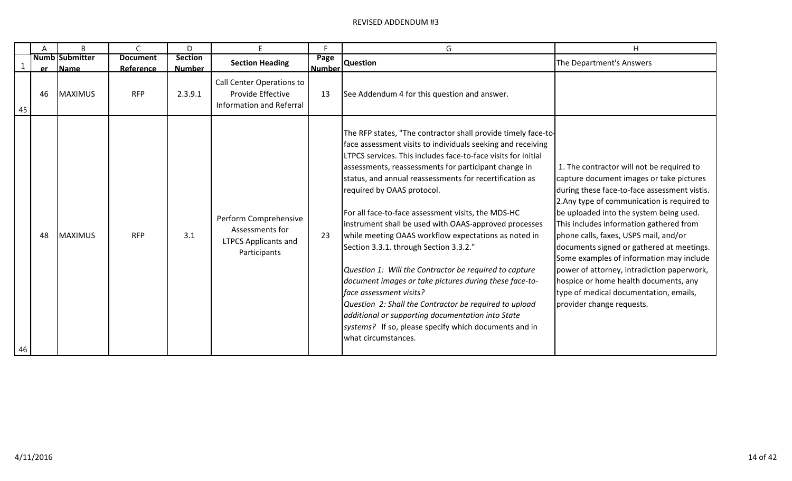|    | A  | B                                 |                              | D                               | F                                                                                       |                       | G                                                                                                                                                                                                                                                                                                                                                                                                                                                                                                                                                                                                                                                                                                                                                                                                                                                                                                             | H                                                                                                                                                                                                                                                                                                                                                                                                                                                                                                                                                                          |
|----|----|-----------------------------------|------------------------------|---------------------------------|-----------------------------------------------------------------------------------------|-----------------------|---------------------------------------------------------------------------------------------------------------------------------------------------------------------------------------------------------------------------------------------------------------------------------------------------------------------------------------------------------------------------------------------------------------------------------------------------------------------------------------------------------------------------------------------------------------------------------------------------------------------------------------------------------------------------------------------------------------------------------------------------------------------------------------------------------------------------------------------------------------------------------------------------------------|----------------------------------------------------------------------------------------------------------------------------------------------------------------------------------------------------------------------------------------------------------------------------------------------------------------------------------------------------------------------------------------------------------------------------------------------------------------------------------------------------------------------------------------------------------------------------|
|    |    | <b>Numb Submitter</b><br>er  Name | <b>Document</b><br>Reference | <b>Section</b><br><b>Number</b> | <b>Section Heading</b>                                                                  | Page<br><b>Number</b> | <b>Question</b>                                                                                                                                                                                                                                                                                                                                                                                                                                                                                                                                                                                                                                                                                                                                                                                                                                                                                               | The Department's Answers                                                                                                                                                                                                                                                                                                                                                                                                                                                                                                                                                   |
| 45 | 46 | <b>MAXIMUS</b>                    | <b>RFP</b>                   | 2.3.9.1                         | Call Center Operations to<br>Provide Effective<br><b>Information and Referral</b>       | 13                    | See Addendum 4 for this question and answer.                                                                                                                                                                                                                                                                                                                                                                                                                                                                                                                                                                                                                                                                                                                                                                                                                                                                  |                                                                                                                                                                                                                                                                                                                                                                                                                                                                                                                                                                            |
| 46 | 48 | <b>MAXIMUS</b>                    | <b>RFP</b>                   | 3.1                             | Perform Comprehensive<br>Assessments for<br><b>LTPCS Applicants and</b><br>Participants | 23                    | The RFP states, "The contractor shall provide timely face-to-<br>face assessment visits to individuals seeking and receiving<br>LTPCS services. This includes face-to-face visits for initial<br>assessments, reassessments for participant change in<br>status, and annual reassessments for recertification as<br>required by OAAS protocol.<br>For all face-to-face assessment visits, the MDS-HC<br>instrument shall be used with OAAS-approved processes<br>while meeting OAAS workflow expectations as noted in<br>Section 3.3.1. through Section 3.3.2."<br>Question 1: Will the Contractor be required to capture<br>document images or take pictures during these face-to-<br>face assessment visits?<br>Question 2: Shall the Contractor be required to upload<br>additional or supporting documentation into State<br>systems? If so, please specify which documents and in<br>what circumstances. | 1. The contractor will not be required to<br>capture document images or take pictures<br>during these face-to-face assessment vistis.<br>2. Any type of communication is required to<br>be uploaded into the system being used.<br>This includes information gathered from<br>phone calls, faxes, USPS mail, and/or<br>documents signed or gathered at meetings.<br>Some examples of information may include<br>power of attorney, intradiction paperwork,<br>hospice or home health documents, any<br>type of medical documentation, emails,<br>provider change requests. |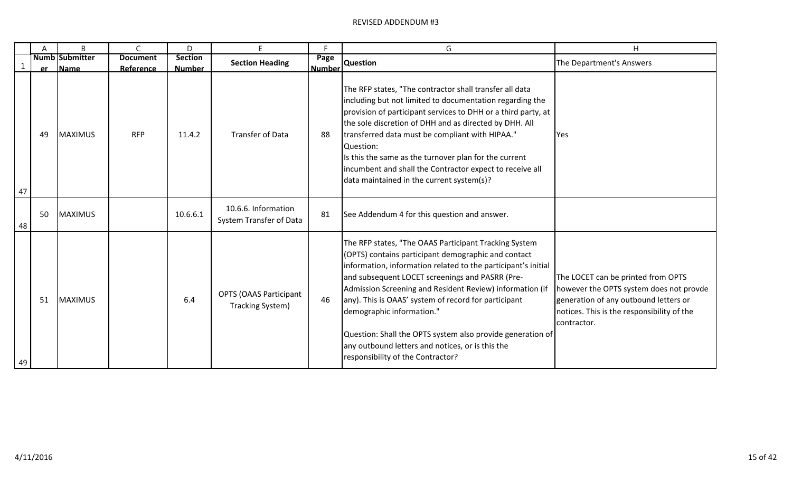|    | A  | B                     | $\mathsf{C}$    | D              | E.                                                    | F.            | G                                                                                                                                                                                                                                                                                                                                                                                                                                                                                                                                        | H                                                                                                                                                                                   |
|----|----|-----------------------|-----------------|----------------|-------------------------------------------------------|---------------|------------------------------------------------------------------------------------------------------------------------------------------------------------------------------------------------------------------------------------------------------------------------------------------------------------------------------------------------------------------------------------------------------------------------------------------------------------------------------------------------------------------------------------------|-------------------------------------------------------------------------------------------------------------------------------------------------------------------------------------|
|    |    | <b>Numb Submitter</b> | <b>Document</b> | <b>Section</b> | <b>Section Heading</b>                                | Page          | <b>Question</b>                                                                                                                                                                                                                                                                                                                                                                                                                                                                                                                          | The Department's Answers                                                                                                                                                            |
|    | er | Name                  | Reference       | <b>Number</b>  |                                                       | <b>Number</b> |                                                                                                                                                                                                                                                                                                                                                                                                                                                                                                                                          |                                                                                                                                                                                     |
| 47 | 49 | <b>MAXIMUS</b>        | <b>RFP</b>      | 11.4.2         | <b>Transfer of Data</b>                               | 88            | The RFP states, "The contractor shall transfer all data<br>including but not limited to documentation regarding the<br>provision of participant services to DHH or a third party, at<br>the sole discretion of DHH and as directed by DHH. All<br>transferred data must be compliant with HIPAA."<br>Question:<br>Is this the same as the turnover plan for the current<br>incumbent and shall the Contractor expect to receive all<br>data maintained in the current system(s)?                                                         | Yes                                                                                                                                                                                 |
| 48 | 50 | <b>MAXIMUS</b>        |                 | 10.6.6.1       | 10.6.6. Information<br><b>System Transfer of Data</b> | 81            | See Addendum 4 for this question and answer.                                                                                                                                                                                                                                                                                                                                                                                                                                                                                             |                                                                                                                                                                                     |
| 49 | 51 | <b>MAXIMUS</b>        |                 | 6.4            | <b>OPTS (OAAS Participant</b><br>Tracking System)     | 46            | The RFP states, "The OAAS Participant Tracking System<br>(OPTS) contains participant demographic and contact<br>information, information related to the participant's initial<br>and subsequent LOCET screenings and PASRR (Pre-<br>Admission Screening and Resident Review) information (if<br>any). This is OAAS' system of record for participant<br>demographic information."<br>Question: Shall the OPTS system also provide generation of<br>any outbound letters and notices, or is this the<br>responsibility of the Contractor? | The LOCET can be printed from OPTS<br>however the OPTS system does not provde<br>generation of any outbound letters or<br>notices. This is the responsibility of the<br>contractor. |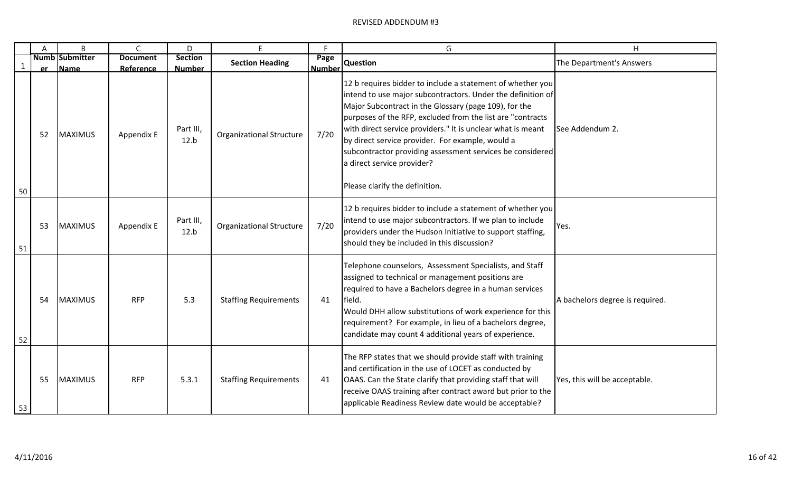|              | A  | B                                | $\mathsf{C}$                 | D                               | E.                              | F                     | G                                                                                                                                                                                                                                                                                                                                                                                                                                                                                                 | H                               |
|--------------|----|----------------------------------|------------------------------|---------------------------------|---------------------------------|-----------------------|---------------------------------------------------------------------------------------------------------------------------------------------------------------------------------------------------------------------------------------------------------------------------------------------------------------------------------------------------------------------------------------------------------------------------------------------------------------------------------------------------|---------------------------------|
| $\mathbf{1}$ |    | <b>Numb Submitter</b><br>er Name | <b>Document</b><br>Reference | <b>Section</b><br><b>Number</b> | <b>Section Heading</b>          | Page<br><b>Number</b> | <b>Question</b>                                                                                                                                                                                                                                                                                                                                                                                                                                                                                   | The Department's Answers        |
| 50           | 52 | <b>MAXIMUS</b>                   | Appendix E                   | Part III,<br>12.b               | <b>Organizational Structure</b> | 7/20                  | 12 b requires bidder to include a statement of whether you<br>intend to use major subcontractors. Under the definition of<br>Major Subcontract in the Glossary (page 109), for the<br>purposes of the RFP, excluded from the list are "contracts"<br>with direct service providers." It is unclear what is meant<br>by direct service provider. For example, would a<br>subcontractor providing assessment services be considered<br>a direct service provider?<br>Please clarify the definition. | See Addendum 2.                 |
| 51           | 53 | MAXIMUS                          | Appendix E                   | Part III,<br>12.b               | <b>Organizational Structure</b> | 7/20                  | 12 b requires bidder to include a statement of whether you<br>intend to use major subcontractors. If we plan to include<br>providers under the Hudson Initiative to support staffing,<br>should they be included in this discussion?                                                                                                                                                                                                                                                              | Yes.                            |
| 52           | 54 | <b>MAXIMUS</b>                   | <b>RFP</b>                   | 5.3                             | <b>Staffing Requirements</b>    | 41                    | Telephone counselors, Assessment Specialists, and Staff<br>assigned to technical or management positions are<br>required to have a Bachelors degree in a human services<br>field.<br>Would DHH allow substitutions of work experience for this<br>requirement? For example, in lieu of a bachelors degree,<br>candidate may count 4 additional years of experience.                                                                                                                               | A bachelors degree is required. |
| 53           | 55 | <b>MAXIMUS</b>                   | <b>RFP</b>                   | 5.3.1                           | <b>Staffing Requirements</b>    | 41                    | The RFP states that we should provide staff with training<br>and certification in the use of LOCET as conducted by<br>OAAS. Can the State clarify that providing staff that will<br>receive OAAS training after contract award but prior to the<br>applicable Readiness Review date would be acceptable?                                                                                                                                                                                          | Yes, this will be acceptable.   |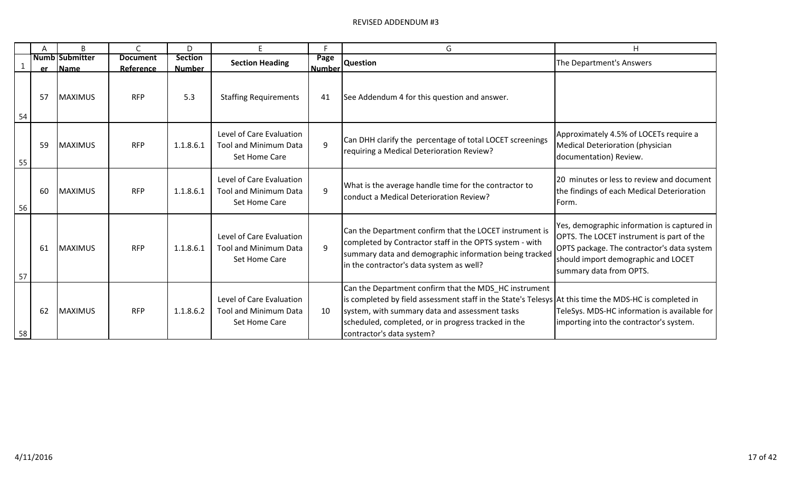|    | Α    | B                             |                              | D                               | E.                                                                        | F                     | G                                                                                                                                                                                                                                                                                                    | H                                                                                                                                                                                                        |
|----|------|-------------------------------|------------------------------|---------------------------------|---------------------------------------------------------------------------|-----------------------|------------------------------------------------------------------------------------------------------------------------------------------------------------------------------------------------------------------------------------------------------------------------------------------------------|----------------------------------------------------------------------------------------------------------------------------------------------------------------------------------------------------------|
|    | er – | <b>Numb</b> Submitter<br>Name | <b>Document</b><br>Reference | <b>Section</b><br><b>Number</b> | <b>Section Heading</b>                                                    | Page<br><b>Number</b> | <b>Question</b>                                                                                                                                                                                                                                                                                      | The Department's Answers                                                                                                                                                                                 |
| 54 | 57   | <b>MAXIMUS</b>                | <b>RFP</b>                   | 5.3                             | <b>Staffing Requirements</b>                                              | 41                    | See Addendum 4 for this question and answer.                                                                                                                                                                                                                                                         |                                                                                                                                                                                                          |
| 55 | 59   | <b>MAXIMUS</b>                | <b>RFP</b>                   | 1.1.8.6.1                       | Level of Care Evaluation<br><b>Tool and Minimum Data</b><br>Set Home Care | 9                     | Can DHH clarify the percentage of total LOCET screenings<br>requiring a Medical Deterioration Review?                                                                                                                                                                                                | Approximately 4.5% of LOCETs require a<br>Medical Deterioration (physician<br>documentation) Review.                                                                                                     |
| 56 | 60   | <b>MAXIMUS</b>                | <b>RFP</b>                   | 1.1.8.6.1                       | Level of Care Evaluation<br><b>Tool and Minimum Data</b><br>Set Home Care | 9                     | What is the average handle time for the contractor to<br>conduct a Medical Deterioration Review?                                                                                                                                                                                                     | 20 minutes or less to review and document<br>the findings of each Medical Deterioration<br>Form.                                                                                                         |
| 57 | 61   | <b>MAXIMUS</b>                | <b>RFP</b>                   | 1.1.8.6.1                       | Level of Care Evaluation<br><b>Tool and Minimum Data</b><br>Set Home Care | 9                     | Can the Department confirm that the LOCET instrument is<br>completed by Contractor staff in the OPTS system - with<br>summary data and demographic information being tracked<br>in the contractor's data system as well?                                                                             | Yes, demographic information is captured in<br>OPTS. The LOCET instrument is part of the<br>OPTS package. The contractor's data system<br>should import demographic and LOCET<br>summary data from OPTS. |
| 58 | 62   | <b>MAXIMUS</b>                | <b>RFP</b>                   | 1.1.8.6.2                       | Level of Care Evaluation<br><b>Tool and Minimum Data</b><br>Set Home Care | 10                    | Can the Department confirm that the MDS_HC instrument<br>is completed by field assessment staff in the State's Telesys At this time the MDS-HC is completed in<br>system, with summary data and assessment tasks<br>scheduled, completed, or in progress tracked in the<br>contractor's data system? | TeleSys. MDS-HC information is available for<br>importing into the contractor's system.                                                                                                                  |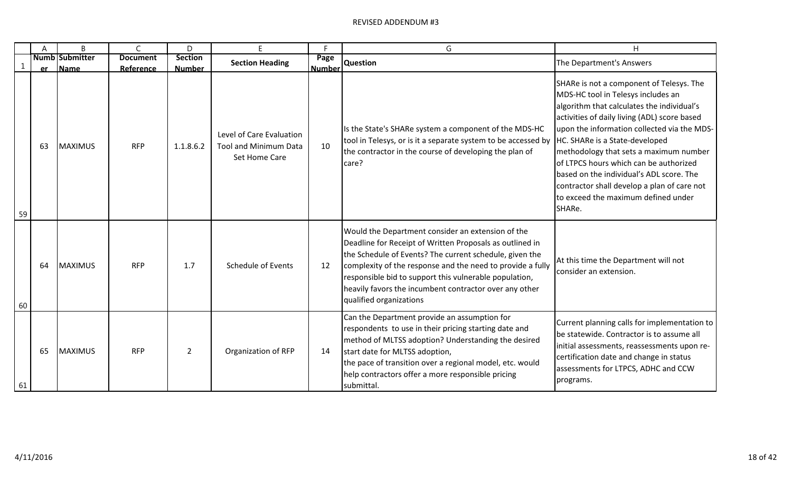|             | A  | B                         | $\mathsf{C}$            | D                          | E.                                                                        | F.                    | G                                                                                                                                                                                                                                                                                                                                                                                     | H                                                                                                                                                                                                                                                                                                                                                                                                                                                                                             |
|-------------|----|---------------------------|-------------------------|----------------------------|---------------------------------------------------------------------------|-----------------------|---------------------------------------------------------------------------------------------------------------------------------------------------------------------------------------------------------------------------------------------------------------------------------------------------------------------------------------------------------------------------------------|-----------------------------------------------------------------------------------------------------------------------------------------------------------------------------------------------------------------------------------------------------------------------------------------------------------------------------------------------------------------------------------------------------------------------------------------------------------------------------------------------|
| $\mathbf 1$ |    | <b>Numb Submitter</b>     | <b>Document</b>         | <b>Section</b>             | <b>Section Heading</b>                                                    | Page<br><b>Number</b> | <b>Question</b>                                                                                                                                                                                                                                                                                                                                                                       | The Department's Answers                                                                                                                                                                                                                                                                                                                                                                                                                                                                      |
| 59          | 63 | er Name<br><b>MAXIMUS</b> | Reference<br><b>RFP</b> | <b>Number</b><br>1.1.8.6.2 | Level of Care Evaluation<br><b>Tool and Minimum Data</b><br>Set Home Care | 10                    | Is the State's SHARe system a component of the MDS-HC<br>tool in Telesys, or is it a separate system to be accessed by<br>the contractor in the course of developing the plan of<br>care?                                                                                                                                                                                             | SHARe is not a component of Telesys. The<br>MDS-HC tool in Telesys includes an<br>algorithm that calculates the individual's<br>activities of daily living (ADL) score based<br>upon the information collected via the MDS-<br>HC. SHARe is a State-developed<br>methodology that sets a maximum number<br>of LTPCS hours which can be authorized<br>based on the individual's ADL score. The<br>contractor shall develop a plan of care not<br>to exceed the maximum defined under<br>SHARe. |
| 60          | 64 | <b>MAXIMUS</b>            | <b>RFP</b>              | 1.7                        | <b>Schedule of Events</b>                                                 | 12                    | Would the Department consider an extension of the<br>Deadline for Receipt of Written Proposals as outlined in<br>the Schedule of Events? The current schedule, given the<br>complexity of the response and the need to provide a fully<br>responsible bid to support this vulnerable population,<br>heavily favors the incumbent contractor over any other<br>qualified organizations | At this time the Department will not<br>consider an extension.                                                                                                                                                                                                                                                                                                                                                                                                                                |
| 61          | 65 | <b>MAXIMUS</b>            | <b>RFP</b>              | $\overline{2}$             | Organization of RFP                                                       | 14                    | Can the Department provide an assumption for<br>respondents to use in their pricing starting date and<br>method of MLTSS adoption? Understanding the desired<br>start date for MLTSS adoption,<br>the pace of transition over a regional model, etc. would<br>help contractors offer a more responsible pricing<br>submittal.                                                         | Current planning calls for implementation to<br>be statewide. Contractor is to assume all<br>initial assessments, reassessments upon re-<br>certification date and change in status<br>assessments for LTPCS, ADHC and CCW<br>programs.                                                                                                                                                                                                                                                       |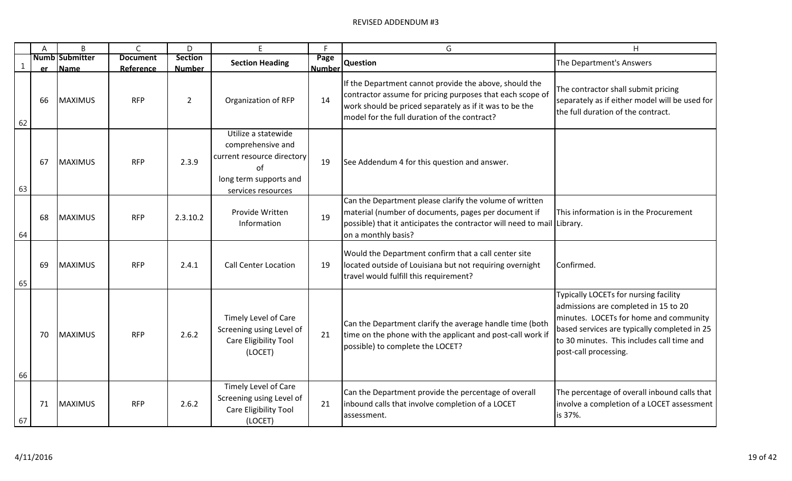|    | A  | B                             | $\mathsf{C}$                 | D                               | F.                                                                                                                           | F                     | G                                                                                                                                                                                                                              | H                                                                                                                                                                                                                                              |
|----|----|-------------------------------|------------------------------|---------------------------------|------------------------------------------------------------------------------------------------------------------------------|-----------------------|--------------------------------------------------------------------------------------------------------------------------------------------------------------------------------------------------------------------------------|------------------------------------------------------------------------------------------------------------------------------------------------------------------------------------------------------------------------------------------------|
| 1  | er | <b>Numb Submitter</b><br>Name | <b>Document</b><br>Reference | <b>Section</b><br><b>Number</b> | <b>Section Heading</b>                                                                                                       | Page<br><b>Number</b> | <b>Question</b>                                                                                                                                                                                                                | The Department's Answers                                                                                                                                                                                                                       |
| 62 | 66 | <b>MAXIMUS</b>                | <b>RFP</b>                   | $\overline{2}$                  | Organization of RFP                                                                                                          | 14                    | If the Department cannot provide the above, should the<br>contractor assume for pricing purposes that each scope of<br>work should be priced separately as if it was to be the<br>model for the full duration of the contract? | The contractor shall submit pricing<br>separately as if either model will be used for<br>the full duration of the contract.                                                                                                                    |
| 63 | 67 | <b>MAXIMUS</b>                | <b>RFP</b>                   | 2.3.9                           | Utilize a statewide<br>comprehensive and<br>current resource directory<br>Ωf<br>long term supports and<br>services resources | 19                    | See Addendum 4 for this question and answer.                                                                                                                                                                                   |                                                                                                                                                                                                                                                |
| 64 | 68 | <b>MAXIMUS</b>                | <b>RFP</b>                   | 2.3.10.2                        | Provide Written<br>Information                                                                                               | 19                    | Can the Department please clarify the volume of written<br>material (number of documents, pages per document if<br>possible) that it anticipates the contractor will need to mail Library.<br>on a monthly basis?              | This information is in the Procurement                                                                                                                                                                                                         |
| 65 | 69 | MAXIMUS                       | <b>RFP</b>                   | 2.4.1                           | <b>Call Center Location</b>                                                                                                  | 19                    | Would the Department confirm that a call center site<br>located outside of Louisiana but not requiring overnight<br>travel would fulfill this requirement?                                                                     | Confirmed.                                                                                                                                                                                                                                     |
| 66 | 70 | <b>MAXIMUS</b>                | <b>RFP</b>                   | 2.6.2                           | Timely Level of Care<br>Screening using Level of<br>Care Eligibility Tool<br>(LOCET)                                         | 21                    | Can the Department clarify the average handle time (both<br>time on the phone with the applicant and post-call work if<br>possible) to complete the LOCET?                                                                     | Typically LOCETs for nursing facility<br>admissions are completed in 15 to 20<br>minutes. LOCETs for home and community<br>based services are typically completed in 25<br>to 30 minutes. This includes call time and<br>post-call processing. |
| 67 | 71 | <b>MAXIMUS</b>                | <b>RFP</b>                   | 2.6.2                           | <b>Timely Level of Care</b><br>Screening using Level of<br>Care Eligibility Tool<br>(LOCET)                                  | 21                    | Can the Department provide the percentage of overall<br>inbound calls that involve completion of a LOCET<br>assessment.                                                                                                        | The percentage of overall inbound calls that<br>involve a completion of a LOCET assessment<br>is 37%.                                                                                                                                          |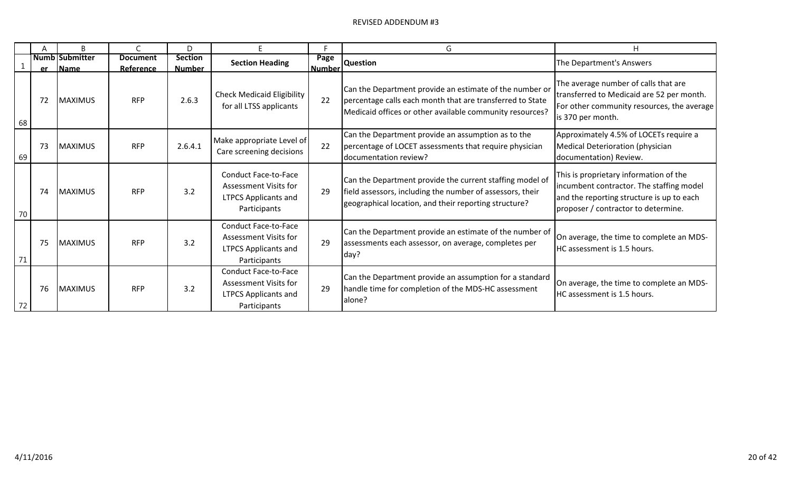|    | А         | B                                    |                              | D                               |                                                                                                     |                       | G                                                                                                                                                                                | н                                                                                                                                                                      |
|----|-----------|--------------------------------------|------------------------------|---------------------------------|-----------------------------------------------------------------------------------------------------|-----------------------|----------------------------------------------------------------------------------------------------------------------------------------------------------------------------------|------------------------------------------------------------------------------------------------------------------------------------------------------------------------|
|    | <b>er</b> | <b>Numb Submitter</b><br><b>Name</b> | <b>Document</b><br>Reference | <b>Section</b><br><b>Number</b> | <b>Section Heading</b>                                                                              | Page<br><b>Number</b> | <b>Question</b>                                                                                                                                                                  | The Department's Answers                                                                                                                                               |
| 68 | 72        | <b>MAXIMUS</b>                       | <b>RFP</b>                   | 2.6.3                           | <b>Check Medicaid Eligibility</b><br>for all LTSS applicants                                        | 22                    | Can the Department provide an estimate of the number or<br>percentage calls each month that are transferred to State<br>Medicaid offices or other available community resources? | The average number of calls that are<br>transferred to Medicaid are 52 per month.<br>For other community resources, the average<br>is 370 per month.                   |
| 69 | 73        | <b>MAXIMUS</b>                       | <b>RFP</b>                   | 2.6.4.1                         | Make appropriate Level of<br>Care screening decisions                                               | 22                    | Can the Department provide an assumption as to the<br>percentage of LOCET assessments that require physician<br>documentation review?                                            | Approximately 4.5% of LOCETs require a<br>Medical Deterioration (physician<br>documentation) Review.                                                                   |
| 70 | 74        | <b>MAXIMUS</b>                       | <b>RFP</b>                   | 3.2                             | Conduct Face-to-Face<br>Assessment Visits for<br><b>LTPCS Applicants and</b><br>Participants        | 29                    | Can the Department provide the current staffing model of<br>field assessors, including the number of assessors, their<br>geographical location, and their reporting structure?   | This is proprietary information of the<br>incumbent contractor. The staffing model<br>and the reporting structure is up to each<br>proposer / contractor to determine. |
| 71 | 75        | <b>MAXIMUS</b>                       | <b>RFP</b>                   | 3.2                             | <b>Conduct Face-to-Face</b><br>Assessment Visits for<br><b>LTPCS Applicants and</b><br>Participants | 29                    | Can the Department provide an estimate of the number of<br>assessments each assessor, on average, completes per<br>day?                                                          | On average, the time to complete an MDS-<br>HC assessment is 1.5 hours.                                                                                                |
| 72 | 76        | <b>MAXIMUS</b>                       | <b>RFP</b>                   | 3.2                             | <b>Conduct Face-to-Face</b><br>Assessment Visits for<br><b>LTPCS Applicants and</b><br>Participants | 29                    | Can the Department provide an assumption for a standard<br>handle time for completion of the MDS-HC assessment<br>alone?                                                         | On average, the time to complete an MDS-<br>HC assessment is 1.5 hours.                                                                                                |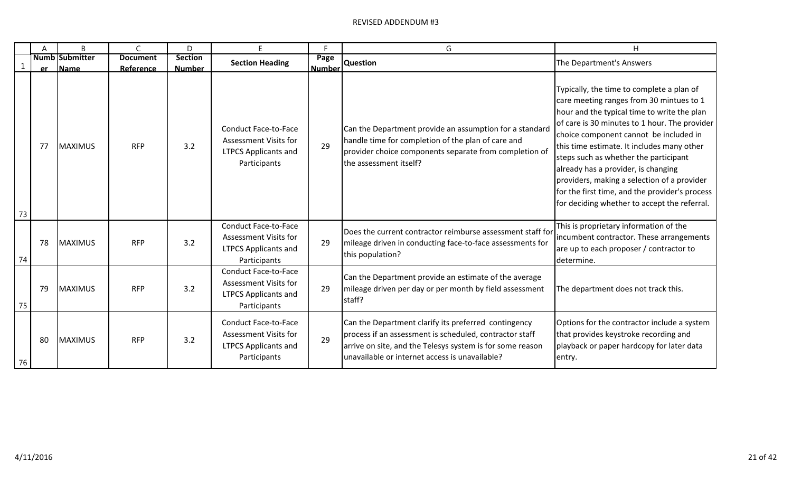|          |    | B                                | $\mathsf{C}$                 | D                               | E.                                                                                                         | F.                    | G                                                                                                                                                                                                                              | H                                                                                                                                                                                                                                                                                                                                                                                                                                                                                                              |
|----------|----|----------------------------------|------------------------------|---------------------------------|------------------------------------------------------------------------------------------------------------|-----------------------|--------------------------------------------------------------------------------------------------------------------------------------------------------------------------------------------------------------------------------|----------------------------------------------------------------------------------------------------------------------------------------------------------------------------------------------------------------------------------------------------------------------------------------------------------------------------------------------------------------------------------------------------------------------------------------------------------------------------------------------------------------|
|          |    | <b>Numb Submitter</b><br>er Name | <b>Document</b><br>Reference | <b>Section</b><br><b>Number</b> | <b>Section Heading</b>                                                                                     | Page<br><b>Number</b> | <b>Question</b>                                                                                                                                                                                                                | The Department's Answers                                                                                                                                                                                                                                                                                                                                                                                                                                                                                       |
|          | 77 | <b>MAXIMUS</b>                   | <b>RFP</b>                   | 3.2                             | <b>Conduct Face-to-Face</b><br>Assessment Visits for<br><b>LTPCS Applicants and</b><br>Participants        | 29                    | Can the Department provide an assumption for a standard<br>handle time for completion of the plan of care and<br>provider choice components separate from completion of<br>the assessment itself?                              | Typically, the time to complete a plan of<br>care meeting ranges from 30 mintues to 1<br>hour and the typical time to write the plan<br>of care is 30 minutes to 1 hour. The provider<br>choice component cannot be included in<br>this time estimate. It includes many other<br>steps such as whether the participant<br>already has a provider, is changing<br>providers, making a selection of a provider<br>for the first time, and the provider's process<br>for deciding whether to accept the referral. |
| 73<br>74 | 78 | <b>MAXIMUS</b>                   | <b>RFP</b>                   | 3.2                             | <b>Conduct Face-to-Face</b><br><b>Assessment Visits for</b><br><b>LTPCS Applicants and</b><br>Participants | 29                    | Does the current contractor reimburse assessment staff for<br>mileage driven in conducting face-to-face assessments for<br>this population?                                                                                    | This is proprietary information of the<br>incumbent contractor. These arrangements<br>are up to each proposer / contractor to<br>determine.                                                                                                                                                                                                                                                                                                                                                                    |
| 75       | 79 | <b>MAXIMUS</b>                   | <b>RFP</b>                   | 3.2                             | <b>Conduct Face-to-Face</b><br><b>Assessment Visits for</b><br><b>LTPCS Applicants and</b><br>Participants | 29                    | Can the Department provide an estimate of the average<br>mileage driven per day or per month by field assessment<br>staff?                                                                                                     | The department does not track this.                                                                                                                                                                                                                                                                                                                                                                                                                                                                            |
| 76       | 80 | <b>MAXIMUS</b>                   | <b>RFP</b>                   | 3.2                             | <b>Conduct Face-to-Face</b><br><b>Assessment Visits for</b><br><b>LTPCS Applicants and</b><br>Participants | 29                    | Can the Department clarify its preferred contingency<br>process if an assessment is scheduled, contractor staff<br>arrive on site, and the Telesys system is for some reason<br>unavailable or internet access is unavailable? | Options for the contractor include a system<br>that provides keystroke recording and<br>playback or paper hardcopy for later data<br>entry.                                                                                                                                                                                                                                                                                                                                                                    |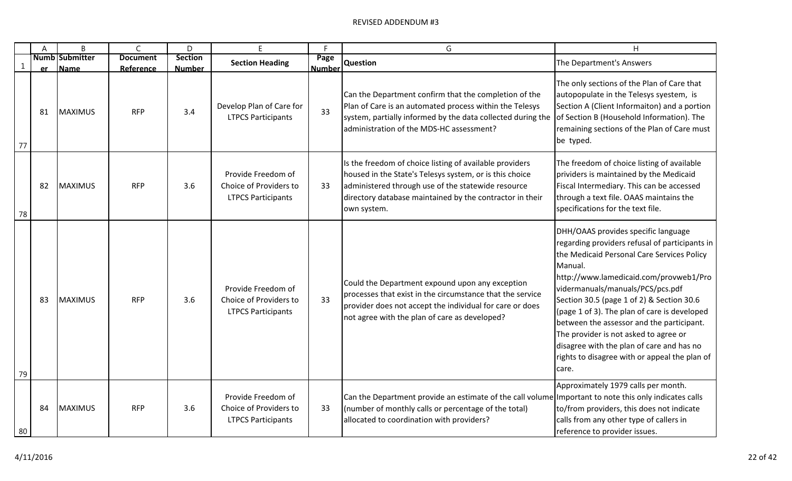|    | A         | B                             | $\mathsf C$                  | D                               | F                                                                         | F                     | G                                                                                                                                                                                                                                                   | H                                                                                                                                                                                                                                                                                                                                                                                                                                                                                                                      |
|----|-----------|-------------------------------|------------------------------|---------------------------------|---------------------------------------------------------------------------|-----------------------|-----------------------------------------------------------------------------------------------------------------------------------------------------------------------------------------------------------------------------------------------------|------------------------------------------------------------------------------------------------------------------------------------------------------------------------------------------------------------------------------------------------------------------------------------------------------------------------------------------------------------------------------------------------------------------------------------------------------------------------------------------------------------------------|
|    | <b>er</b> | <b>Numb Submitter</b><br>Name | <b>Document</b><br>Reference | <b>Section</b><br><b>Number</b> | <b>Section Heading</b>                                                    | Page<br><b>Number</b> | <b>Question</b>                                                                                                                                                                                                                                     | The Department's Answers                                                                                                                                                                                                                                                                                                                                                                                                                                                                                               |
| 77 | 81        | <b>MAXIMUS</b>                | <b>RFP</b>                   | 3.4                             | Develop Plan of Care for<br><b>LTPCS Participants</b>                     | 33                    | Can the Department confirm that the completion of the<br>Plan of Care is an automated process within the Telesys<br>system, partially informed by the data collected during the<br>administration of the MDS-HC assessment?                         | The only sections of the Plan of Care that<br>autopopulate in the Telesys syestem, is<br>Section A (Client Informaiton) and a portion<br>of Section B (Household Information). The<br>remaining sections of the Plan of Care must<br>be typed.                                                                                                                                                                                                                                                                         |
| 78 | 82        | <b>MAXIMUS</b>                | <b>RFP</b>                   | 3.6                             | Provide Freedom of<br>Choice of Providers to<br><b>LTPCS Participants</b> | 33                    | Is the freedom of choice listing of available providers<br>housed in the State's Telesys system, or is this choice<br>administered through use of the statewide resource<br>directory database maintained by the contractor in their<br>own system. | The freedom of choice listing of available<br>prividers is maintained by the Medicaid<br>Fiscal Intermediary. This can be accessed<br>through a text file. OAAS maintains the<br>specifications for the text file.                                                                                                                                                                                                                                                                                                     |
| 79 | 83        | <b>MAXIMUS</b>                | <b>RFP</b>                   | 3.6                             | Provide Freedom of<br>Choice of Providers to<br><b>LTPCS Participants</b> | 33                    | Could the Department expound upon any exception<br>processes that exist in the circumstance that the service<br>provider does not accept the individual for care or does<br>not agree with the plan of care as developed?                           | DHH/OAAS provides specific language<br>regarding providers refusal of participants in<br>the Medicaid Personal Care Services Policy<br>Manual.<br>http://www.lamedicaid.com/provweb1/Pro<br>vidermanuals/manuals/PCS/pcs.pdf<br>Section 30.5 (page 1 of 2) & Section 30.6<br>(page 1 of 3). The plan of care is developed<br>between the assessor and the participant.<br>The provider is not asked to agree or<br>disagree with the plan of care and has no<br>rights to disagree with or appeal the plan of<br>care. |
| 80 | 84        | <b>MAXIMUS</b>                | <b>RFP</b>                   | 3.6                             | Provide Freedom of<br>Choice of Providers to<br><b>LTPCS Participants</b> | 33                    | Can the Department provide an estimate of the call volume Important to note this only indicates calls<br>(number of monthly calls or percentage of the total)<br>allocated to coordination with providers?                                          | Approximately 1979 calls per month.<br>to/from providers, this does not indicate<br>calls from any other type of callers in<br>reference to provider issues.                                                                                                                                                                                                                                                                                                                                                           |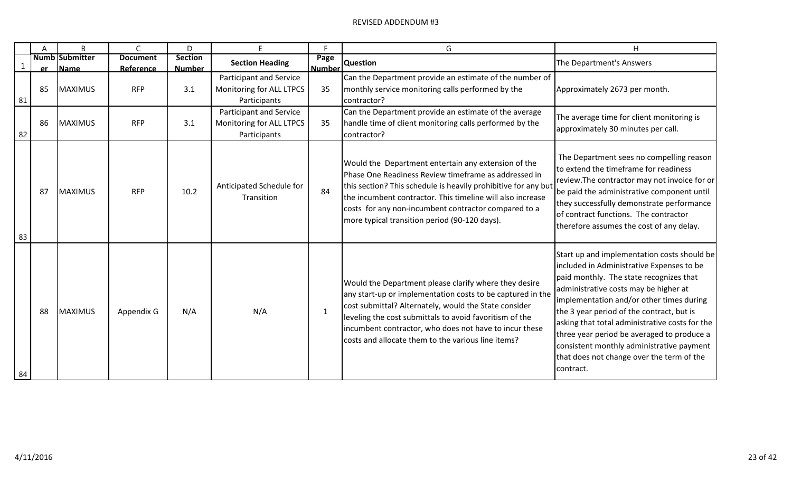|    | A         | B                             |                              | D                               | E.                                                                  | F                     | G                                                                                                                                                                                                                                                                                                                                                       | Н                                                                                                                                                                                                                                                                                                                                                                                                                                                                            |
|----|-----------|-------------------------------|------------------------------|---------------------------------|---------------------------------------------------------------------|-----------------------|---------------------------------------------------------------------------------------------------------------------------------------------------------------------------------------------------------------------------------------------------------------------------------------------------------------------------------------------------------|------------------------------------------------------------------------------------------------------------------------------------------------------------------------------------------------------------------------------------------------------------------------------------------------------------------------------------------------------------------------------------------------------------------------------------------------------------------------------|
|    | <b>er</b> | <b>Numb Submitter</b><br>Name | <b>Document</b><br>Reference | <b>Section</b><br><b>Number</b> | <b>Section Heading</b>                                              | Page<br><b>Number</b> | <b>Question</b>                                                                                                                                                                                                                                                                                                                                         | The Department's Answers                                                                                                                                                                                                                                                                                                                                                                                                                                                     |
| 81 | 85        | <b>MAXIMUS</b>                | <b>RFP</b>                   | 3.1                             | Participant and Service<br>Monitoring for ALL LTPCS<br>Participants | 35                    | Can the Department provide an estimate of the number of<br>monthly service monitoring calls performed by the<br>contractor?                                                                                                                                                                                                                             | Approximately 2673 per month.                                                                                                                                                                                                                                                                                                                                                                                                                                                |
| 82 | 86        | <b>MAXIMUS</b>                | <b>RFP</b>                   | 3.1                             | Participant and Service<br>Monitoring for ALL LTPCS<br>Participants | 35                    | Can the Department provide an estimate of the average<br>handle time of client monitoring calls performed by the<br>contractor?                                                                                                                                                                                                                         | The average time for client monitoring is<br>approximately 30 minutes per call.                                                                                                                                                                                                                                                                                                                                                                                              |
| 83 | 87        | <b>MAXIMUS</b>                | <b>RFP</b>                   | 10.2                            | Anticipated Schedule for<br>Transition                              | 84                    | Would the Department entertain any extension of the<br>Phase One Readiness Review timeframe as addressed in<br>this section? This schedule is heavily prohibitive for any but<br>the incumbent contractor. This timeline will also increase<br>costs for any non-incumbent contractor compared to a<br>more typical transition period (90-120 days).    | The Department sees no compelling reason<br>to extend the timeframe for readiness<br>review. The contractor may not invoice for or<br>be paid the administrative component until<br>they successfully demonstrate performance<br>of contract functions. The contractor<br>therefore assumes the cost of any delay.                                                                                                                                                           |
| 84 | 88        | <b>MAXIMUS</b>                | Appendix G                   | N/A                             | N/A                                                                 |                       | Would the Department please clarify where they desire<br>any start-up or implementation costs to be captured in the<br>cost submittal? Alternately, would the State consider<br>leveling the cost submittals to avoid favoritism of the<br>incumbent contractor, who does not have to incur these<br>costs and allocate them to the various line items? | Start up and implementation costs should be<br>included in Administrative Expenses to be<br>paid monthly. The state recognizes that<br>administrative costs may be higher at<br>implementation and/or other times during<br>the 3 year period of the contract, but is<br>asking that total administrative costs for the<br>three year period be averaged to produce a<br>consistent monthly administrative payment<br>that does not change over the term of the<br>contract. |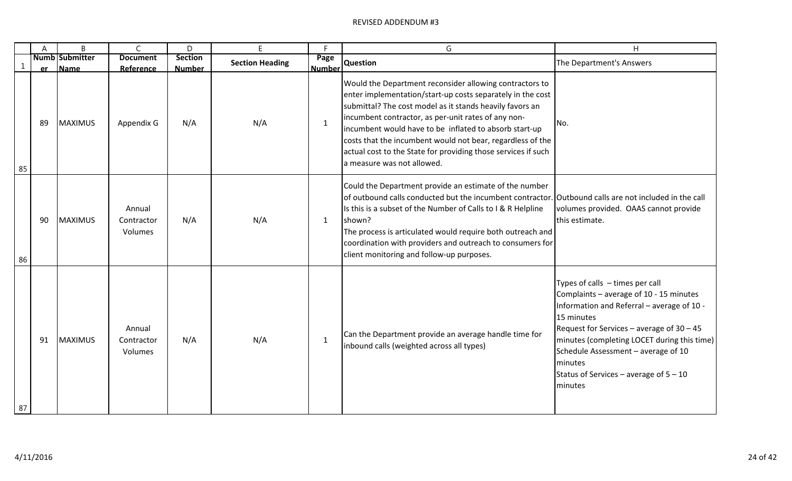|              | A         | B                      | $\mathsf{C}$                    | D                               | E                      | Е                     | G                                                                                                                                                                                                                                                                                                                                                                                                                                                               | H                                                                                                                                                                                                                                                                                                                                                       |
|--------------|-----------|------------------------|---------------------------------|---------------------------------|------------------------|-----------------------|-----------------------------------------------------------------------------------------------------------------------------------------------------------------------------------------------------------------------------------------------------------------------------------------------------------------------------------------------------------------------------------------------------------------------------------------------------------------|---------------------------------------------------------------------------------------------------------------------------------------------------------------------------------------------------------------------------------------------------------------------------------------------------------------------------------------------------------|
| $\mathbf{1}$ | <b>er</b> | Numb Submitter<br>Name | <b>Document</b><br>Reference    | <b>Section</b><br><b>Number</b> | <b>Section Heading</b> | Page<br><b>Number</b> | <b>Question</b>                                                                                                                                                                                                                                                                                                                                                                                                                                                 | The Department's Answers                                                                                                                                                                                                                                                                                                                                |
| 85           | -89       | <b>MAXIMUS</b>         | Appendix G                      | N/A                             | N/A                    | $\mathbf{1}$          | Would the Department reconsider allowing contractors to<br>enter implementation/start-up costs separately in the cost<br>submittal? The cost model as it stands heavily favors an<br>incumbent contractor, as per-unit rates of any non-<br>incumbent would have to be inflated to absorb start-up<br>costs that the incumbent would not bear, regardless of the<br>actual cost to the State for providing those services if such<br>a measure was not allowed. | INo.                                                                                                                                                                                                                                                                                                                                                    |
| 86           | 90        | <b>MAXIMUS</b>         | Annual<br>Contractor<br>Volumes | N/A                             | N/A                    | $\mathbf{1}$          | Could the Department provide an estimate of the number<br>of outbound calls conducted but the incumbent contractor. Outbound calls are not included in the call<br>Is this is a subset of the Number of Calls to I & R Helpline<br>shown?<br>The process is articulated would require both outreach and<br>coordination with providers and outreach to consumers for<br>client monitoring and follow-up purposes.                                               | volumes provided. OAAS cannot provide<br>this estimate.                                                                                                                                                                                                                                                                                                 |
| 87           | 91        | <b>MAXIMUS</b>         | Annual<br>Contractor<br>Volumes | N/A                             | N/A                    | 1                     | Can the Department provide an average handle time for<br>inbound calls (weighted across all types)                                                                                                                                                                                                                                                                                                                                                              | Types of calls $-$ times per call<br>Complaints - average of 10 - 15 minutes<br>Information and Referral - average of 10 -<br>15 minutes<br>Request for Services – average of $30 - 45$<br>minutes (completing LOCET during this time)<br>Schedule Assessment - average of 10<br><i>Iminutes</i><br>Status of Services – average of $5 - 10$<br>minutes |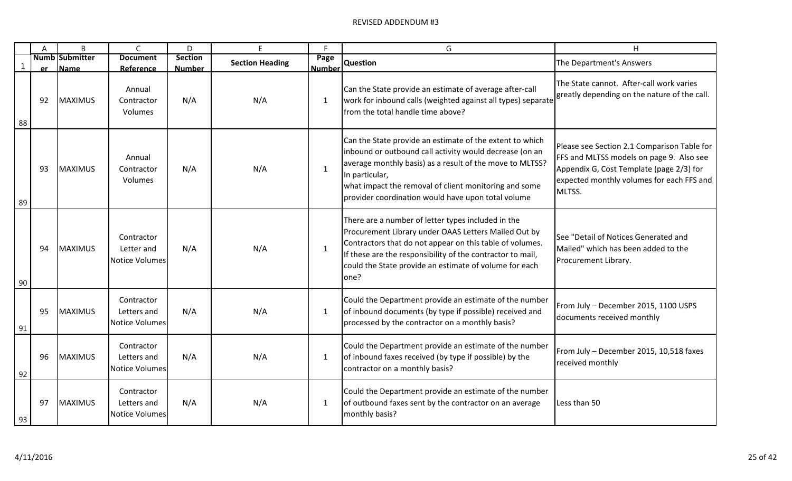|              | A         | B                             | $\mathsf{C}$                                       | D                               | E                      | F                     | G                                                                                                                                                                                                                                                                                                                | H                                                                                                                                                                                          |
|--------------|-----------|-------------------------------|----------------------------------------------------|---------------------------------|------------------------|-----------------------|------------------------------------------------------------------------------------------------------------------------------------------------------------------------------------------------------------------------------------------------------------------------------------------------------------------|--------------------------------------------------------------------------------------------------------------------------------------------------------------------------------------------|
| $\mathbf{1}$ | <b>er</b> | <b>Numb Submitter</b><br>Name | <b>Document</b><br>Reference                       | <b>Section</b><br><b>Number</b> | <b>Section Heading</b> | Page<br><b>Number</b> | <b>Question</b>                                                                                                                                                                                                                                                                                                  | The Department's Answers                                                                                                                                                                   |
| 88           | 92        | <b>MAXIMUS</b>                | Annual<br>Contractor<br>Volumes                    | N/A                             | N/A                    | $\mathbf{1}$          | Can the State provide an estimate of average after-call<br>work for inbound calls (weighted against all types) separate<br>from the total handle time above?                                                                                                                                                     | The State cannot. After-call work varies<br>greatly depending on the nature of the call.                                                                                                   |
| 89           | 93        | <b>MAXIMUS</b>                | Annual<br>Contractor<br>Volumes                    | N/A                             | N/A                    | $\mathbf{1}$          | Can the State provide an estimate of the extent to which<br>inbound or outbound call activity would decrease (on an<br>average monthly basis) as a result of the move to MLTSS?<br>In particular,<br>what impact the removal of client monitoring and some<br>provider coordination would have upon total volume | Please see Section 2.1 Comparison Table for<br>FFS and MLTSS models on page 9. Also see<br>Appendix G, Cost Template (page 2/3) for<br>expected monthly volumes for each FFS and<br>MLTSS. |
| 90           | 94        | <b>MAXIMUS</b>                | Contractor<br>Letter and<br><b>Notice Volumes</b>  | N/A                             | N/A                    | $\mathbf{1}$          | There are a number of letter types included in the<br>Procurement Library under OAAS Letters Mailed Out by<br>Contractors that do not appear on this table of volumes.<br>If these are the responsibility of the contractor to mail,<br>could the State provide an estimate of volume for each<br>one?           | See "Detail of Notices Generated and<br>Mailed" which has been added to the<br>Procurement Library.                                                                                        |
| 91           | 95        | <b>MAXIMUS</b>                | Contractor<br>Letters and<br><b>Notice Volumes</b> | N/A                             | N/A                    | $\mathbf{1}$          | Could the Department provide an estimate of the number<br>of inbound documents (by type if possible) received and<br>processed by the contractor on a monthly basis?                                                                                                                                             | From July - December 2015, 1100 USPS<br>documents received monthly                                                                                                                         |
| 92           | 96        | <b>MAXIMUS</b>                | Contractor<br>Letters and<br><b>Notice Volumes</b> | N/A                             | N/A                    | $\mathbf{1}$          | Could the Department provide an estimate of the number<br>of inbound faxes received (by type if possible) by the<br>contractor on a monthly basis?                                                                                                                                                               | From July - December 2015, 10,518 faxes<br>received monthly                                                                                                                                |
| 93           | 97        | <b>MAXIMUS</b>                | Contractor<br>Letters and<br><b>Notice Volumes</b> | N/A                             | N/A                    | $\mathbf{1}$          | Could the Department provide an estimate of the number<br>of outbound faxes sent by the contractor on an average<br>monthly basis?                                                                                                                                                                               | Less than 50                                                                                                                                                                               |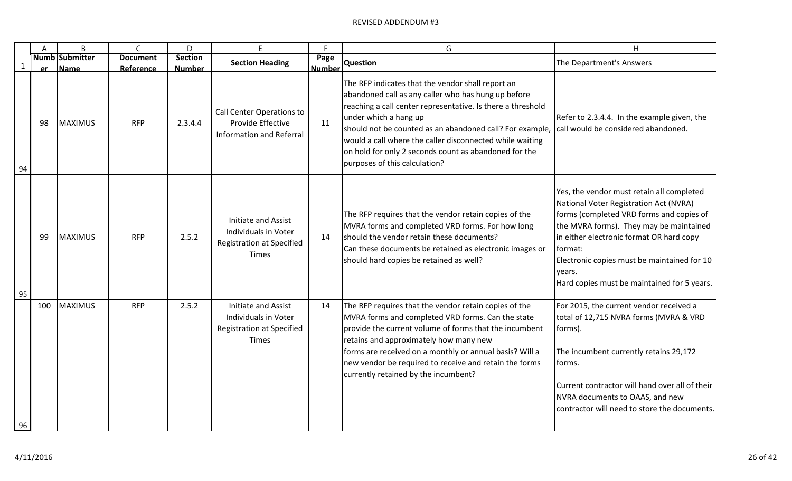|              | A   | B                             | $\mathsf{C}$                 | D                               | E                                                                                               | F                     | G                                                                                                                                                                                                                                                                                                                                                                                                                  | Η                                                                                                                                                                                                                                                                                                                                         |
|--------------|-----|-------------------------------|------------------------------|---------------------------------|-------------------------------------------------------------------------------------------------|-----------------------|--------------------------------------------------------------------------------------------------------------------------------------------------------------------------------------------------------------------------------------------------------------------------------------------------------------------------------------------------------------------------------------------------------------------|-------------------------------------------------------------------------------------------------------------------------------------------------------------------------------------------------------------------------------------------------------------------------------------------------------------------------------------------|
| $\mathbf{1}$ | er  | <b>Numb Submitter</b><br>Name | <b>Document</b><br>Reference | <b>Section</b><br><b>Number</b> | <b>Section Heading</b>                                                                          | Page<br><b>Number</b> | <b>Question</b>                                                                                                                                                                                                                                                                                                                                                                                                    | The Department's Answers                                                                                                                                                                                                                                                                                                                  |
| 94           | 98  | <b>MAXIMUS</b>                | <b>RFP</b>                   | 2.3.4.4                         | Call Center Operations to<br>Provide Effective<br><b>Information and Referral</b>               | 11                    | The RFP indicates that the vendor shall report an<br>abandoned call as any caller who has hung up before<br>reaching a call center representative. Is there a threshold<br>under which a hang up<br>should not be counted as an abandoned call? For example,<br>would a call where the caller disconnected while waiting<br>on hold for only 2 seconds count as abandoned for the<br>purposes of this calculation? | Refer to 2.3.4.4. In the example given, the<br>call would be considered abandoned.                                                                                                                                                                                                                                                        |
| 95           | 99  | <b>MAXIMUS</b>                | <b>RFP</b>                   | 2.5.2                           | Initiate and Assist<br>Individuals in Voter<br><b>Registration at Specified</b><br><b>Times</b> | 14                    | The RFP requires that the vendor retain copies of the<br>MVRA forms and completed VRD forms. For how long<br>should the vendor retain these documents?<br>Can these documents be retained as electronic images or<br>should hard copies be retained as well?                                                                                                                                                       | Yes, the vendor must retain all completed<br>National Voter Registration Act (NVRA)<br>forms (completed VRD forms and copies of<br>the MVRA forms). They may be maintained<br>in either electronic format OR hard copy<br>format:<br>Electronic copies must be maintained for 10<br>vears.<br>Hard copies must be maintained for 5 years. |
| 96           | 100 | <b>MAXIMUS</b>                | <b>RFP</b>                   | 2.5.2                           | Initiate and Assist<br>Individuals in Voter<br><b>Registration at Specified</b><br><b>Times</b> | 14                    | The RFP requires that the vendor retain copies of the<br>MVRA forms and completed VRD forms. Can the state<br>provide the current volume of forms that the incumbent<br>retains and approximately how many new<br>forms are received on a monthly or annual basis? Will a<br>new vendor be required to receive and retain the forms<br>currently retained by the incumbent?                                        | For 2015, the current vendor received a<br>total of 12,715 NVRA forms (MVRA & VRD<br>forms).<br>The incumbent currently retains 29,172<br>forms.<br>Current contractor will hand over all of their<br>NVRA documents to OAAS, and new<br>contractor will need to store the documents.                                                     |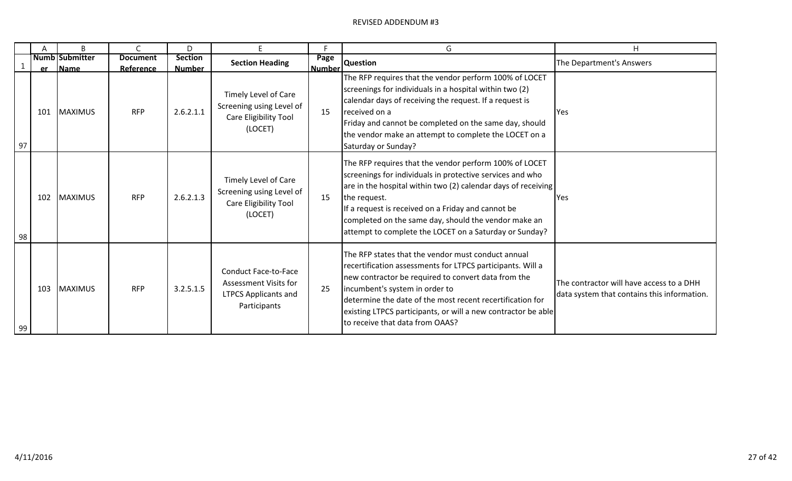|    | Α           | B                                    |                                     | D                               | E                                                                                                          | Е                     | G                                                                                                                                                                                                                                                                                                                                                                            | H                                                                                       |
|----|-------------|--------------------------------------|-------------------------------------|---------------------------------|------------------------------------------------------------------------------------------------------------|-----------------------|------------------------------------------------------------------------------------------------------------------------------------------------------------------------------------------------------------------------------------------------------------------------------------------------------------------------------------------------------------------------------|-----------------------------------------------------------------------------------------|
|    |             | <b>Numb Submitter</b><br><b>Name</b> | <b>Document</b><br><b>Reference</b> | <b>Section</b><br><b>Number</b> | <b>Section Heading</b>                                                                                     | Page<br><b>Number</b> | <b>Question</b>                                                                                                                                                                                                                                                                                                                                                              | The Department's Answers                                                                |
| 97 | er -<br>101 | <b>MAXIMUS</b>                       | <b>RFP</b>                          | 2.6.2.1.1                       | Timely Level of Care<br>Screening using Level of<br>Care Eligibility Tool<br>(LOCET)                       | 15                    | The RFP requires that the vendor perform 100% of LOCET<br>screenings for individuals in a hospital within two (2)<br>calendar days of receiving the request. If a request is<br>received on a<br>Friday and cannot be completed on the same day, should<br>the vendor make an attempt to complete the LOCET on a<br>Saturday or Sunday?                                      | Yes                                                                                     |
| 98 | 102         | <b>MAXIMUS</b>                       | <b>RFP</b>                          | 2.6.2.1.3                       | Timely Level of Care<br>Screening using Level of<br>Care Eligibility Tool<br>(LOCET)                       | 15                    | The RFP requires that the vendor perform 100% of LOCET<br>screenings for individuals in protective services and who<br>are in the hospital within two (2) calendar days of receiving<br>the request.<br>If a request is received on a Friday and cannot be<br>completed on the same day, should the vendor make an<br>attempt to complete the LOCET on a Saturday or Sunday? | <b>Yes</b>                                                                              |
| 99 | 103         | <b>MAXIMUS</b>                       | <b>RFP</b>                          | 3.2.5.1.5                       | <b>Conduct Face-to-Face</b><br><b>Assessment Visits for</b><br><b>LTPCS Applicants and</b><br>Participants | 25                    | The RFP states that the vendor must conduct annual<br>recertification assessments for LTPCS participants. Will a<br>new contractor be required to convert data from the<br>incumbent's system in order to<br>determine the date of the most recent recertification for<br>existing LTPCS participants, or will a new contractor be able<br>to receive that data from OAAS?   | The contractor will have access to a DHH<br>data system that contains this information. |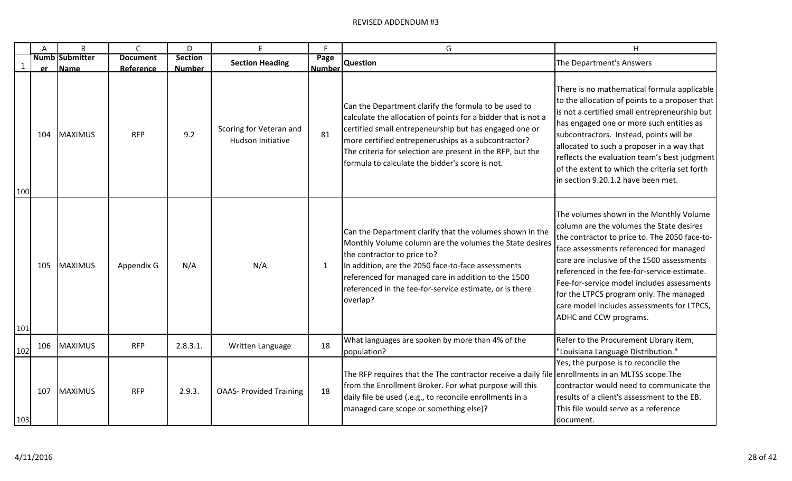|              | A   | B                             | $\mathsf{C}$                 | D                        | F                                            | F                     | G                                                                                                                                                                                                                                                                                                                                                       | H                                                                                                                                                                                                                                                                                                                                                                                                                                             |
|--------------|-----|-------------------------------|------------------------------|--------------------------|----------------------------------------------|-----------------------|---------------------------------------------------------------------------------------------------------------------------------------------------------------------------------------------------------------------------------------------------------------------------------------------------------------------------------------------------------|-----------------------------------------------------------------------------------------------------------------------------------------------------------------------------------------------------------------------------------------------------------------------------------------------------------------------------------------------------------------------------------------------------------------------------------------------|
| $\mathbf{1}$ | er  | <b>Numb Submitter</b><br>Name | <b>Document</b><br>Reference | Section<br><b>Number</b> | <b>Section Heading</b>                       | Page<br><b>Number</b> | <b>Question</b>                                                                                                                                                                                                                                                                                                                                         | The Department's Answers                                                                                                                                                                                                                                                                                                                                                                                                                      |
| 100          | 104 | MAXIMUS                       | <b>RFP</b>                   | 9.2                      | Scoring for Veteran and<br>Hudson Initiative | 81                    | Can the Department clarify the formula to be used to<br>calculate the allocation of points for a bidder that is not a<br>certified small entrepeneurship but has engaged one or<br>more certified entrepeneruships as a subcontractor?<br>The criteria for selection are present in the RFP, but the<br>formula to calculate the bidder's score is not. | There is no mathematical formula applicable<br>to the allocation of points to a proposer that<br>is not a certified small entrepreneurship but<br>has engaged one or more such entities as<br>subcontractors. Instead, points will be<br>allocated to such a proposer in a way that<br>reflects the evaluation team's best judgment<br>of the extent to which the criteria set forth<br>in section 9.20.1.2 have been met.                    |
| 101          | 105 | MAXIMUS                       | Appendix G                   | N/A                      | N/A                                          | 1                     | Can the Department clarify that the volumes shown in the<br>Monthly Volume column are the volumes the State desires<br>the contractor to price to?<br>In addition, are the 2050 face-to-face assessments<br>referenced for managed care in addition to the 1500<br>referenced in the fee-for-service estimate, or is there<br>overlap?                  | The volumes shown in the Monthly Volume<br>column are the volumes the State desires<br>the contractor to price to. The 2050 face-to-<br>face assessments referenced for managed<br>care are inclusive of the 1500 assessments<br>referenced in the fee-for-service estimate.<br>Fee-for-service model includes assessments<br>for the LTPCS program only. The managed<br>care model includes assessments for LTPCS,<br>ADHC and CCW programs. |
| 102          | 106 | <b>MAXIMUS</b>                | <b>RFP</b>                   | 2.8.3.1                  | Written Language                             | 18                    | What languages are spoken by more than 4% of the<br>population?                                                                                                                                                                                                                                                                                         | Refer to the Procurement Library item,<br>"Louisiana Language Distribution."                                                                                                                                                                                                                                                                                                                                                                  |
| 103          | 107 | <b>MAXIMUS</b>                | <b>RFP</b>                   | 2.9.3.                   | <b>OAAS- Provided Training</b>               | 18                    | The RFP requires that the The contractor receive a daily file enrollments in an MLTSS scope. The<br>from the Enrollment Broker. For what purpose will this<br>daily file be used (.e.g., to reconcile enrollments in a<br>managed care scope or something else)?                                                                                        | Yes, the purpose is to reconcile the<br>contractor would need to communicate the<br>results of a client's assessment to the EB.<br>This file would serve as a reference<br>Idocument.                                                                                                                                                                                                                                                         |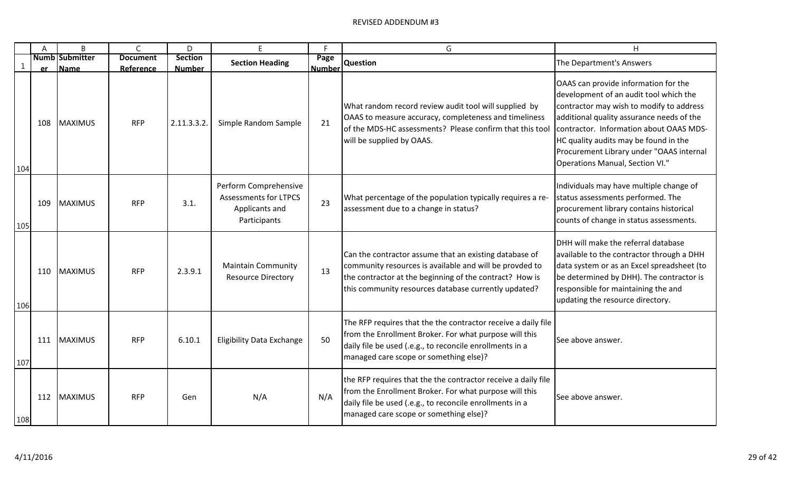|              | A   | B                             | $\mathsf{C}$                 | D                               | F                                                                                       | Е                     | G                                                                                                                                                                                                                                    | H                                                                                                                                                                                                                                                                                                                                          |
|--------------|-----|-------------------------------|------------------------------|---------------------------------|-----------------------------------------------------------------------------------------|-----------------------|--------------------------------------------------------------------------------------------------------------------------------------------------------------------------------------------------------------------------------------|--------------------------------------------------------------------------------------------------------------------------------------------------------------------------------------------------------------------------------------------------------------------------------------------------------------------------------------------|
| $\mathbf{1}$ | er  | <b>Numb Submitter</b><br>Name | <b>Document</b><br>Reference | <b>Section</b><br><b>Number</b> | <b>Section Heading</b>                                                                  | Page<br><b>Number</b> | <b>Question</b>                                                                                                                                                                                                                      | The Department's Answers                                                                                                                                                                                                                                                                                                                   |
| 104          | 108 | <b>MAXIMUS</b>                | <b>RFP</b>                   | 2.11.3.3.2.                     | Simple Random Sample                                                                    | 21                    | What random record review audit tool will supplied by<br>OAAS to measure accuracy, completeness and timeliness<br>of the MDS-HC assessments? Please confirm that this tool<br>will be supplied by OAAS.                              | OAAS can provide information for the<br>development of an audit tool which the<br>contractor may wish to modify to address<br>additional quality assurance needs of the<br>contractor. Information about OAAS MDS-<br>HC quality audits may be found in the<br>Procurement Library under "OAAS internal<br>Operations Manual, Section VI." |
| 105          | 109 | <b>MAXIMUS</b>                | <b>RFP</b>                   | 3.1.                            | Perform Comprehensive<br><b>Assessments for LTPCS</b><br>Applicants and<br>Participants | 23                    | What percentage of the population typically requires a re-<br>assessment due to a change in status?                                                                                                                                  | Individuals may have multiple change of<br>status assessments performed. The<br>procurement library contains historical<br>counts of change in status assessments.                                                                                                                                                                         |
| 106          | 110 | <b>MAXIMUS</b>                | <b>RFP</b>                   | 2.3.9.1                         | <b>Maintain Community</b><br><b>Resource Directory</b>                                  | 13                    | Can the contractor assume that an existing database of<br>community resources is available and will be provded to<br>the contractor at the beginning of the contract? How is<br>this community resources database currently updated? | <b>IDHH will make the referral database</b><br>available to the contractor through a DHH<br>data system or as an Excel spreadsheet (to<br>be determined by DHH). The contractor is<br>responsible for maintaining the and<br>updating the resource directory.                                                                              |
| 107          | 111 | <b>MAXIMUS</b>                | <b>RFP</b>                   | 6.10.1                          | <b>Eligibility Data Exchange</b>                                                        | 50                    | The RFP requires that the the contractor receive a daily file<br>from the Enrollment Broker. For what purpose will this<br>daily file be used (.e.g., to reconcile enrollments in a<br>managed care scope or something else)?        | See above answer.                                                                                                                                                                                                                                                                                                                          |
| 108          | 112 | <b>MAXIMUS</b>                | <b>RFP</b>                   | Gen                             | N/A                                                                                     | N/A                   | the RFP requires that the the contractor receive a daily file<br>from the Enrollment Broker. For what purpose will this<br>daily file be used (.e.g., to reconcile enrollments in a<br>managed care scope or something else)?        | See above answer.                                                                                                                                                                                                                                                                                                                          |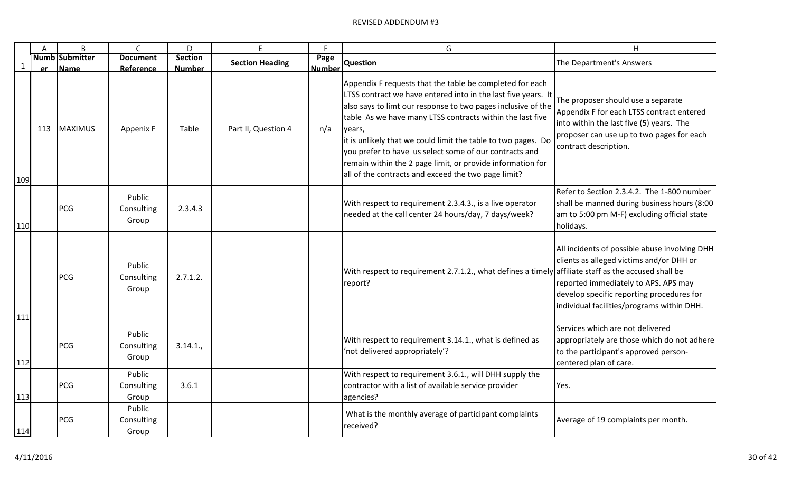|     | $\mathsf{A}$ | B                             | $\mathsf{C}$                  | D                               | E.                     | F                     | G                                                                                                                                                                                                                                                                                                                                                                                                                                                                                                                | H                                                                                                                                                                                                                            |
|-----|--------------|-------------------------------|-------------------------------|---------------------------------|------------------------|-----------------------|------------------------------------------------------------------------------------------------------------------------------------------------------------------------------------------------------------------------------------------------------------------------------------------------------------------------------------------------------------------------------------------------------------------------------------------------------------------------------------------------------------------|------------------------------------------------------------------------------------------------------------------------------------------------------------------------------------------------------------------------------|
| 1   | er -         | <b>Numb Submitter</b><br>Name | <b>Document</b><br>Reference  | <b>Section</b><br><b>Number</b> | <b>Section Heading</b> | Page<br><b>Number</b> | <b>Question</b>                                                                                                                                                                                                                                                                                                                                                                                                                                                                                                  | The Department's Answers                                                                                                                                                                                                     |
| 109 | 113          | MAXIMUS                       | Appenix F                     | Table                           | Part II, Question 4    | n/a                   | Appendix F requests that the table be completed for each<br>LTSS contract we have entered into in the last five years. It<br>also says to limt our response to two pages inclusive of the<br>table As we have many LTSS contracts within the last five<br>years,<br>it is unlikely that we could limit the table to two pages. Do<br>you prefer to have us select some of our contracts and<br>remain within the 2 page limit, or provide information for<br>all of the contracts and exceed the two page limit? | The proposer should use a separate<br>Appendix F for each LTSS contract entered<br>into within the last five (5) years. The<br>proposer can use up to two pages for each<br>contract description.                            |
| 110 |              | PCG                           | Public<br>Consulting<br>Group | 2.3.4.3                         |                        |                       | With respect to requirement 2.3.4.3., is a live operator<br>needed at the call center 24 hours/day, 7 days/week?                                                                                                                                                                                                                                                                                                                                                                                                 | Refer to Section 2.3.4.2. The 1-800 number<br>shall be manned during business hours (8:00<br>am to 5:00 pm M-F) excluding official state<br>holidays.                                                                        |
| 111 |              | PCG                           | Public<br>Consulting<br>Group | 2.7.1.2.                        |                        |                       | With respect to requirement 2.7.1.2., what defines a timely affiliate staff as the accused shall be<br>report?                                                                                                                                                                                                                                                                                                                                                                                                   | All incidents of possible abuse involving DHH<br>clients as alleged victims and/or DHH or<br>reported immediately to APS. APS may<br>develop specific reporting procedures for<br>individual facilities/programs within DHH. |
| 112 |              | PCG                           | Public<br>Consulting<br>Group | 3.14.1.                         |                        |                       | With respect to requirement 3.14.1., what is defined as<br>'not delivered appropriately'?                                                                                                                                                                                                                                                                                                                                                                                                                        | Services which are not delivered<br>appropriately are those which do not adhere<br>to the participant's approved person-<br>centered plan of care.                                                                           |
| 113 |              | PCG                           | Public<br>Consulting<br>Group | 3.6.1                           |                        |                       | With respect to requirement 3.6.1., will DHH supply the<br>contractor with a list of available service provider<br>agencies?                                                                                                                                                                                                                                                                                                                                                                                     | Yes.                                                                                                                                                                                                                         |
| 114 |              | PCG                           | Public<br>Consulting<br>Group |                                 |                        |                       | What is the monthly average of participant complaints<br>received?                                                                                                                                                                                                                                                                                                                                                                                                                                               | Average of 19 complaints per month.                                                                                                                                                                                          |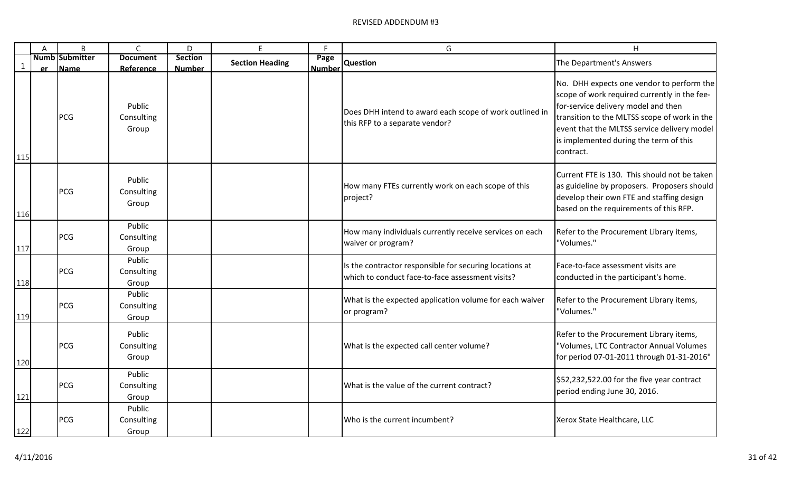|     | $\mathsf{A}$ | B                             | $\mathsf{C}$                  | D                               | E                      | F                     | G                                                                                                           | H                                                                                                                                                                                                                                                                                      |
|-----|--------------|-------------------------------|-------------------------------|---------------------------------|------------------------|-----------------------|-------------------------------------------------------------------------------------------------------------|----------------------------------------------------------------------------------------------------------------------------------------------------------------------------------------------------------------------------------------------------------------------------------------|
| 1   |              | <b>Numb Submitter</b><br>Name | <b>Document</b><br>Reference  | <b>Section</b><br><b>Number</b> | <b>Section Heading</b> | Page<br><b>Number</b> | <b>Question</b>                                                                                             | The Department's Answers                                                                                                                                                                                                                                                               |
| 115 | <b>er</b>    | <b>PCG</b>                    | Public<br>Consulting<br>Group |                                 |                        |                       | Does DHH intend to award each scope of work outlined in<br>this RFP to a separate vendor?                   | No. DHH expects one vendor to perform the<br>scope of work required currently in the fee-<br>for-service delivery model and then<br>transition to the MLTSS scope of work in the<br>event that the MLTSS service delivery model<br>is implemented during the term of this<br>contract. |
| 116 |              | <b>PCG</b>                    | Public<br>Consulting<br>Group |                                 |                        |                       | How many FTEs currently work on each scope of this<br>project?                                              | Current FTE is 130. This should not be taken<br>as guideline by proposers. Proposers should<br>develop their own FTE and staffing design<br>based on the requirements of this RFP.                                                                                                     |
| 117 |              | <b>PCG</b>                    | Public<br>Consulting<br>Group |                                 |                        |                       | How many individuals currently receive services on each<br>waiver or program?                               | Refer to the Procurement Library items,<br>"Volumes."                                                                                                                                                                                                                                  |
| 118 |              | <b>PCG</b>                    | Public<br>Consulting<br>Group |                                 |                        |                       | Is the contractor responsible for securing locations at<br>which to conduct face-to-face assessment visits? | Face-to-face assessment visits are<br>conducted in the participant's home.                                                                                                                                                                                                             |
| 119 |              | PCG                           | Public<br>Consulting<br>Group |                                 |                        |                       | What is the expected application volume for each waiver<br>or program?                                      | Refer to the Procurement Library items,<br>"Volumes."                                                                                                                                                                                                                                  |
| 120 |              | PCG                           | Public<br>Consulting<br>Group |                                 |                        |                       | What is the expected call center volume?                                                                    | Refer to the Procurement Library items,<br>'Volumes, LTC Contractor Annual Volumes<br>for period 07-01-2011 through 01-31-2016"                                                                                                                                                        |
| 121 |              | <b>PCG</b>                    | Public<br>Consulting<br>Group |                                 |                        |                       | What is the value of the current contract?                                                                  | \$52,232,522.00 for the five year contract<br>period ending June 30, 2016.                                                                                                                                                                                                             |
| 122 |              | <b>PCG</b>                    | Public<br>Consulting<br>Group |                                 |                        |                       | Who is the current incumbent?                                                                               | Xerox State Healthcare, LLC                                                                                                                                                                                                                                                            |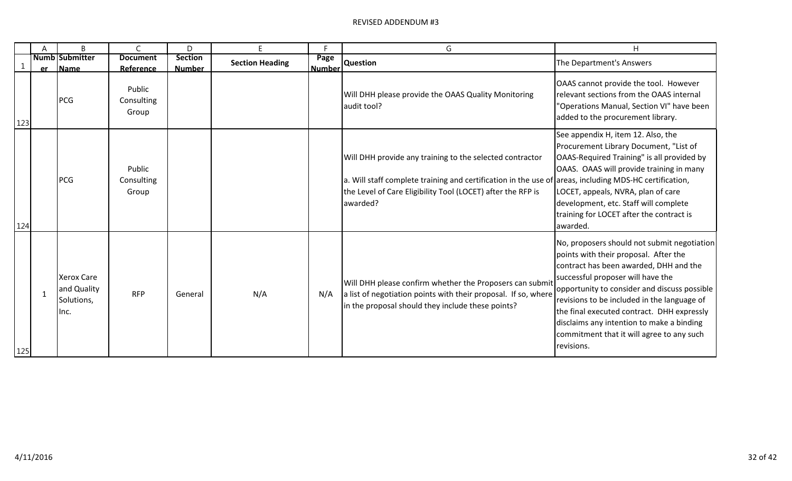|             | Α         | B                                                      | C                                    | D                               | F                      | c.                    | G                                                                                                                                                                                                                                             | H                                                                                                                                                                                                                                                                                                                                                                                                                        |
|-------------|-----------|--------------------------------------------------------|--------------------------------------|---------------------------------|------------------------|-----------------------|-----------------------------------------------------------------------------------------------------------------------------------------------------------------------------------------------------------------------------------------------|--------------------------------------------------------------------------------------------------------------------------------------------------------------------------------------------------------------------------------------------------------------------------------------------------------------------------------------------------------------------------------------------------------------------------|
| $\mathbf 1$ | <b>er</b> | <b>Numb Submitter</b><br><b>Name</b>                   | <b>Document</b><br>Reference         | <b>Section</b><br><b>Number</b> | <b>Section Heading</b> | Page<br><b>Number</b> | <b>Question</b>                                                                                                                                                                                                                               | The Department's Answers                                                                                                                                                                                                                                                                                                                                                                                                 |
| 123         |           | <b>PCG</b>                                             | Public<br>Consulting<br>Group        |                                 |                        |                       | Will DHH please provide the OAAS Quality Monitoring<br>audit tool?                                                                                                                                                                            | OAAS cannot provide the tool. However<br>relevant sections from the OAAS internal<br>"Operations Manual, Section VI" have been<br>added to the procurement library.                                                                                                                                                                                                                                                      |
| 124         |           | <b>PCG</b>                                             | <b>Public</b><br>Consulting<br>Group |                                 |                        |                       | Will DHH provide any training to the selected contractor<br>a. Will staff complete training and certification in the use of areas, including MDS-HC certification,<br>the Level of Care Eligibility Tool (LOCET) after the RFP is<br>awarded? | See appendix H, item 12. Also, the<br>Procurement Library Document, "List of<br>OAAS-Required Training" is all provided by<br>OAAS. OAAS will provide training in many<br>LOCET, appeals, NVRA, plan of care<br>development, etc. Staff will complete<br>training for LOCET after the contract is<br>awarded.                                                                                                            |
| 125         |           | <b>Xerox Care</b><br>and Quality<br>Solutions,<br>Inc. | <b>RFP</b>                           | General                         | N/A                    | N/A                   | Will DHH please confirm whether the Proposers can submit<br>a list of negotiation points with their proposal. If so, where<br>in the proposal should they include these points?                                                               | No, proposers should not submit negotiation<br>points with their proposal. After the<br>contract has been awarded, DHH and the<br>successful proposer will have the<br>opportunity to consider and discuss possible<br>revisions to be included in the language of<br>the final executed contract. DHH expressly<br>disclaims any intention to make a binding<br>commitment that it will agree to any such<br>revisions. |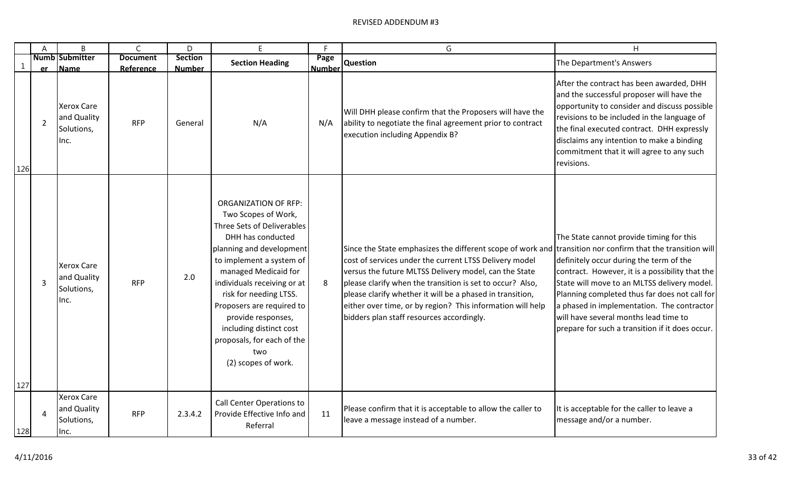|     | A | B                                                      | C                            | D                               | Ε                                                                                                                                                                                                                                                                                                                                                                                        | F                     | G                                                                                                                                                                                                                                                                                                                                                                                                                                                                  | Н                                                                                                                                                                                                                                                                                                                                                                                |
|-----|---|--------------------------------------------------------|------------------------------|---------------------------------|------------------------------------------------------------------------------------------------------------------------------------------------------------------------------------------------------------------------------------------------------------------------------------------------------------------------------------------------------------------------------------------|-----------------------|--------------------------------------------------------------------------------------------------------------------------------------------------------------------------------------------------------------------------------------------------------------------------------------------------------------------------------------------------------------------------------------------------------------------------------------------------------------------|----------------------------------------------------------------------------------------------------------------------------------------------------------------------------------------------------------------------------------------------------------------------------------------------------------------------------------------------------------------------------------|
|     |   | <b>Numb Submitter</b><br>er Name                       | <b>Document</b><br>Reference | <b>Section</b><br><b>Number</b> | <b>Section Heading</b>                                                                                                                                                                                                                                                                                                                                                                   | Page<br><b>Number</b> | Question                                                                                                                                                                                                                                                                                                                                                                                                                                                           | The Department's Answers                                                                                                                                                                                                                                                                                                                                                         |
| 126 | 2 | <b>Xerox Care</b><br>and Quality<br>Solutions,<br>Inc. | <b>RFP</b>                   | General                         | N/A                                                                                                                                                                                                                                                                                                                                                                                      | N/A                   | Will DHH please confirm that the Proposers will have the<br>ability to negotiate the final agreement prior to contract<br>execution including Appendix B?                                                                                                                                                                                                                                                                                                          | After the contract has been awarded, DHH<br>and the successful proposer will have the<br>opportunity to consider and discuss possible<br>revisions to be included in the language of<br>the final executed contract. DHH expressly<br>disclaims any intention to make a binding<br>commitment that it will agree to any such<br>revisions.                                       |
| 127 | 3 | <b>Xerox Care</b><br>and Quality<br>Solutions,<br>Inc. | <b>RFP</b>                   | 2.0                             | <b>ORGANIZATION OF RFP:</b><br>Two Scopes of Work,<br>Three Sets of Deliverables<br>DHH has conducted<br>planning and development<br>to implement a system of<br>managed Medicaid for<br>individuals receiving or at<br>risk for needing LTSS.<br>Proposers are required to<br>provide responses,<br>including distinct cost<br>proposals, for each of the<br>two<br>(2) scopes of work. | 8                     | Since the State emphasizes the different scope of work and transition nor confirm that the transition will<br>cost of services under the current LTSS Delivery model<br>versus the future MLTSS Delivery model, can the State<br>please clarify when the transition is set to occur? Also,<br>please clarify whether it will be a phased in transition,<br>either over time, or by region? This information will help<br>bidders plan staff resources accordingly. | The State cannot provide timing for this<br>definitely occur during the term of the<br>contract. However, it is a possibility that the<br>State will move to an MLTSS delivery model.<br>Planning completed thus far does not call for<br>a phased in implementation. The contractor<br>will have several months lead time to<br>prepare for such a transition if it does occur. |
| 128 | 4 | <b>Xerox Care</b><br>and Quality<br>Solutions,<br>Inc. | <b>RFP</b>                   | 2.3.4.2                         | Call Center Operations to<br>Provide Effective Info and<br>Referral                                                                                                                                                                                                                                                                                                                      | 11                    | Please confirm that it is acceptable to allow the caller to<br>leave a message instead of a number.                                                                                                                                                                                                                                                                                                                                                                | It is acceptable for the caller to leave a<br>message and/or a number.                                                                                                                                                                                                                                                                                                           |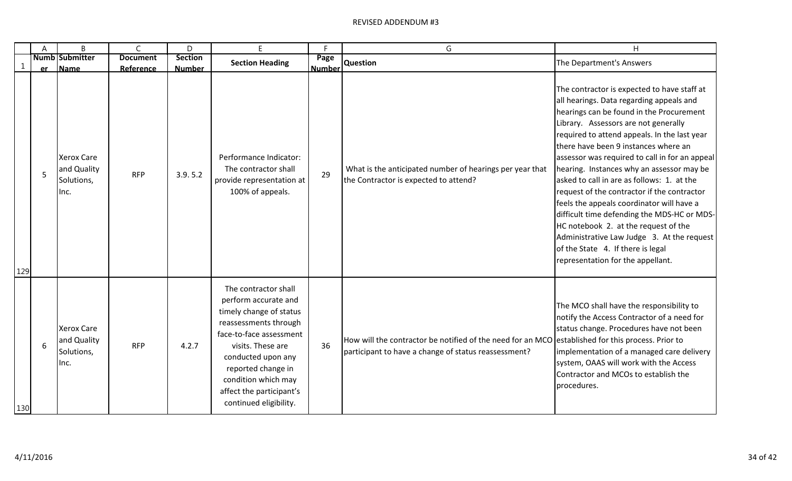|              | A               | B                                                      | $\mathsf{C}$                 | D                               | E.                                                                                                                                                                                                                                                                        | F                     | G                                                                                                                                                         | H                                                                                                                                                                                                                                                                                                                                                                                                                                                                                                                                                                                                                                                                                                                            |
|--------------|-----------------|--------------------------------------------------------|------------------------------|---------------------------------|---------------------------------------------------------------------------------------------------------------------------------------------------------------------------------------------------------------------------------------------------------------------------|-----------------------|-----------------------------------------------------------------------------------------------------------------------------------------------------------|------------------------------------------------------------------------------------------------------------------------------------------------------------------------------------------------------------------------------------------------------------------------------------------------------------------------------------------------------------------------------------------------------------------------------------------------------------------------------------------------------------------------------------------------------------------------------------------------------------------------------------------------------------------------------------------------------------------------------|
| $\mathbf{1}$ | <b>er</b>       | <b>Numb Submitter</b><br>Name                          | <b>Document</b><br>Reference | <b>Section</b><br><b>Number</b> | <b>Section Heading</b>                                                                                                                                                                                                                                                    | Page<br><b>Number</b> | <b>Question</b>                                                                                                                                           | The Department's Answers                                                                                                                                                                                                                                                                                                                                                                                                                                                                                                                                                                                                                                                                                                     |
| 129          | $\overline{5}$  | <b>Xerox Care</b><br>and Quality<br>Solutions,<br>Inc. | <b>RFP</b>                   | 3.9.5.2                         | Performance Indicator:<br>The contractor shall<br>provide representation at<br>100% of appeals.                                                                                                                                                                           | 29                    | What is the anticipated number of hearings per year that<br>the Contractor is expected to attend?                                                         | The contractor is expected to have staff at<br>all hearings. Data regarding appeals and<br>hearings can be found in the Procurement<br>Library. Assessors are not generally<br>required to attend appeals. In the last year<br>there have been 9 instances where an<br>assessor was required to call in for an appeal<br>hearing. Instances why an assessor may be<br>lasked to call in are as follows: 1. at the<br>request of the contractor if the contractor<br>feels the appeals coordinator will have a<br>difficult time defending the MDS-HC or MDS-<br>HC notebook 2. at the request of the<br>Administrative Law Judge 3. At the request<br>of the State 4. If there is legal<br>representation for the appellant. |
| 130          | $6\phantom{1}6$ | <b>Xerox Care</b><br>and Quality<br>Solutions,<br>Inc. | <b>RFP</b>                   | 4.2.7                           | The contractor shall<br>perform accurate and<br>timely change of status<br>reassessments through<br>face-to-face assessment<br>visits. These are<br>conducted upon any<br>reported change in<br>condition which may<br>affect the participant's<br>continued eligibility. | 36                    | How will the contractor be notified of the need for an MCO established for this process. Prior to<br>participant to have a change of status reassessment? | The MCO shall have the responsibility to<br>notify the Access Contractor of a need for<br>status change. Procedures have not been<br>implementation of a managed care delivery<br>system, OAAS will work with the Access<br>Contractor and MCOs to establish the<br>procedures.                                                                                                                                                                                                                                                                                                                                                                                                                                              |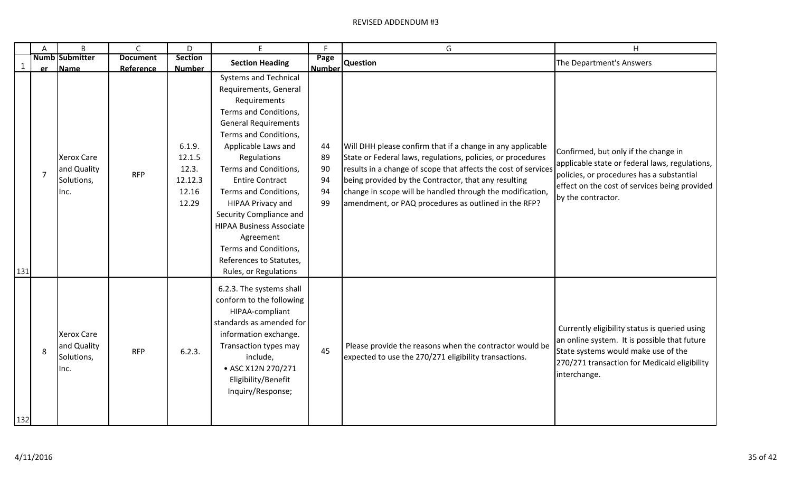|             | A              | B                                                                 | $\mathsf{C}$            | D                                                      | E                                                                                                                                                                                                                                                                                                                                                                                                                                                     | F.                               | G                                                                                                                                                                                                                                                                                                                                                                        | H                                                                                                                                                                                                          |
|-------------|----------------|-------------------------------------------------------------------|-------------------------|--------------------------------------------------------|-------------------------------------------------------------------------------------------------------------------------------------------------------------------------------------------------------------------------------------------------------------------------------------------------------------------------------------------------------------------------------------------------------------------------------------------------------|----------------------------------|--------------------------------------------------------------------------------------------------------------------------------------------------------------------------------------------------------------------------------------------------------------------------------------------------------------------------------------------------------------------------|------------------------------------------------------------------------------------------------------------------------------------------------------------------------------------------------------------|
| $\mathbf 1$ |                | <b>Numb Submitter</b>                                             | <b>Document</b>         | <b>Section</b><br><b>Number</b>                        | <b>Section Heading</b>                                                                                                                                                                                                                                                                                                                                                                                                                                | Page                             | Number Question                                                                                                                                                                                                                                                                                                                                                          | The Department's Answers                                                                                                                                                                                   |
| 131         | $\overline{7}$ | er Name<br><b>Xerox Care</b><br>and Quality<br>Solutions,<br>Inc. | Reference<br><b>RFP</b> | 6.1.9.<br>12.1.5<br>12.3.<br>12.12.3<br>12.16<br>12.29 | <b>Systems and Technical</b><br>Requirements, General<br>Requirements<br>Terms and Conditions,<br><b>General Requirements</b><br>Terms and Conditions,<br>Applicable Laws and<br>Regulations<br>Terms and Conditions,<br><b>Entire Contract</b><br>Terms and Conditions,<br>HIPAA Privacy and<br>Security Compliance and<br><b>HIPAA Business Associate</b><br>Agreement<br>Terms and Conditions,<br>References to Statutes,<br>Rules, or Regulations | 44<br>89<br>90<br>94<br>94<br>99 | Will DHH please confirm that if a change in any applicable<br>State or Federal laws, regulations, policies, or procedures<br>results in a change of scope that affects the cost of services<br>being provided by the Contractor, that any resulting<br>change in scope will be handled through the modification,<br>amendment, or PAQ procedures as outlined in the RFP? | Confirmed, but only if the change in<br>applicable state or federal laws, regulations,<br>policies, or procedures has a substantial<br>effect on the cost of services being provided<br>by the contractor. |
| 132         | 8              | <b>Xerox Care</b><br>and Quality<br>Solutions,<br>Inc.            | <b>RFP</b>              | 6.2.3.                                                 | 6.2.3. The systems shall<br>conform to the following<br>HIPAA-compliant<br>standards as amended for<br>information exchange.<br>Transaction types may<br>include,<br>• ASC X12N 270/271<br>Eligibility/Benefit<br>Inquiry/Response;                                                                                                                                                                                                                   | 45                               | Please provide the reasons when the contractor would be<br>expected to use the 270/271 eligibility transactions.                                                                                                                                                                                                                                                         | Currently eligibility status is queried using<br>an online system. It is possible that future<br>State systems would make use of the<br>270/271 transaction for Medicaid eligibility<br>interchange.       |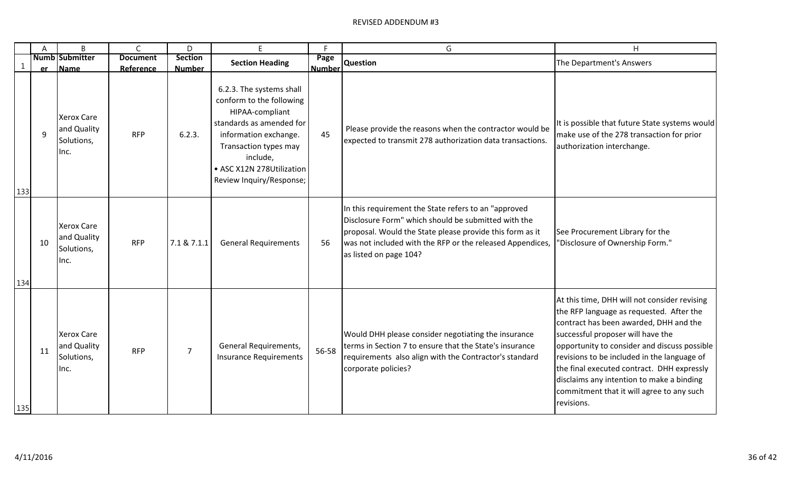|              | A              | B                                                      | $\mathsf{C}$                 | D                               | F                                                                                                                                                                                                                          | F                     | G                                                                                                                                                                                                                                                              | H                                                                                                                                                                                                                                                                                                                                                                                                                            |
|--------------|----------------|--------------------------------------------------------|------------------------------|---------------------------------|----------------------------------------------------------------------------------------------------------------------------------------------------------------------------------------------------------------------------|-----------------------|----------------------------------------------------------------------------------------------------------------------------------------------------------------------------------------------------------------------------------------------------------------|------------------------------------------------------------------------------------------------------------------------------------------------------------------------------------------------------------------------------------------------------------------------------------------------------------------------------------------------------------------------------------------------------------------------------|
| $\mathbf{1}$ |                | <b>Numb Submitter</b><br><b>Name</b>                   | <b>Document</b><br>Reference | <b>Section</b><br><b>Number</b> | <b>Section Heading</b>                                                                                                                                                                                                     | Page<br><b>Number</b> | <b>Question</b>                                                                                                                                                                                                                                                | The Department's Answers                                                                                                                                                                                                                                                                                                                                                                                                     |
| 133          | <b>er</b><br>q | <b>Xerox Care</b><br>and Quality<br>Solutions,<br>Inc. | <b>RFP</b>                   | 6.2.3.                          | 6.2.3. The systems shall<br>conform to the following<br>HIPAA-compliant<br>standards as amended for<br>information exchange.<br>Transaction types may<br>include,<br>• ASC X12N 278Utilization<br>Review Inquiry/Response; | 45                    | Please provide the reasons when the contractor would be<br>expected to transmit 278 authorization data transactions.                                                                                                                                           | It is possible that future State systems would<br>make use of the 278 transaction for prior<br>authorization interchange.                                                                                                                                                                                                                                                                                                    |
| 134          | 10             | <b>Xerox Care</b><br>and Quality<br>Solutions,<br>Inc. | <b>RFP</b>                   | 7.1 & 7.1.1                     | <b>General Requirements</b>                                                                                                                                                                                                | 56                    | In this requirement the State refers to an "approved<br>Disclosure Form" which should be submitted with the<br>proposal. Would the State please provide this form as it<br>was not included with the RFP or the released Appendices,<br>as listed on page 104? | See Procurement Library for the<br>"Disclosure of Ownership Form."                                                                                                                                                                                                                                                                                                                                                           |
| 135          | 11             | <b>Xerox Care</b><br>and Quality<br>Solutions,<br>Inc. | <b>RFP</b>                   | $\overline{7}$                  | General Requirements,<br><b>Insurance Requirements</b>                                                                                                                                                                     | 56-58                 | Would DHH please consider negotiating the insurance<br>terms in Section 7 to ensure that the State's insurance<br>requirements also align with the Contractor's standard<br>corporate policies?                                                                | At this time, DHH will not consider revising<br>the RFP language as requested. After the<br>contract has been awarded, DHH and the<br>successful proposer will have the<br>opportunity to consider and discuss possible<br>revisions to be included in the language of<br>the final executed contract. DHH expressly<br>disclaims any intention to make a binding<br>commitment that it will agree to any such<br>revisions. |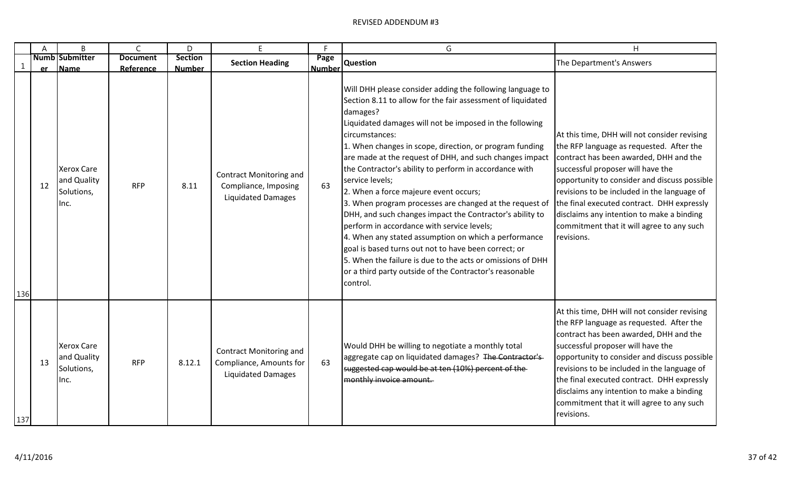|             | A         | B                                                      | C                            | D                               |                                                                                        | E                     | G                                                                                                                                                                                                                                                                                                                                                                                                                                                                                                                                                                                                                                                                                                                                                                                                                                                                                       | H                                                                                                                                                                                                                                                                                                                                                                                                                            |
|-------------|-----------|--------------------------------------------------------|------------------------------|---------------------------------|----------------------------------------------------------------------------------------|-----------------------|-----------------------------------------------------------------------------------------------------------------------------------------------------------------------------------------------------------------------------------------------------------------------------------------------------------------------------------------------------------------------------------------------------------------------------------------------------------------------------------------------------------------------------------------------------------------------------------------------------------------------------------------------------------------------------------------------------------------------------------------------------------------------------------------------------------------------------------------------------------------------------------------|------------------------------------------------------------------------------------------------------------------------------------------------------------------------------------------------------------------------------------------------------------------------------------------------------------------------------------------------------------------------------------------------------------------------------|
| $\mathbf 1$ | <b>er</b> | <b>Numb Submitter</b><br><b>Name</b>                   | <b>Document</b><br>Reference | <b>Section</b><br><b>Number</b> | <b>Section Heading</b>                                                                 | Page<br><b>Number</b> | <b>Question</b>                                                                                                                                                                                                                                                                                                                                                                                                                                                                                                                                                                                                                                                                                                                                                                                                                                                                         | The Department's Answers                                                                                                                                                                                                                                                                                                                                                                                                     |
| 136         | 12        | <b>Xerox Care</b><br>and Quality<br>Solutions,<br>Inc. | <b>RFP</b>                   | 8.11                            | Contract Monitoring and<br>Compliance, Imposing<br><b>Liquidated Damages</b>           | 63                    | Will DHH please consider adding the following language to<br>Section 8.11 to allow for the fair assessment of liquidated<br>damages?<br>Liquidated damages will not be imposed in the following<br>circumstances:<br>1. When changes in scope, direction, or program funding<br>are made at the request of DHH, and such changes impact<br>the Contractor's ability to perform in accordance with<br>service levels;<br>2. When a force majeure event occurs;<br>3. When program processes are changed at the request of<br>DHH, and such changes impact the Contractor's ability to<br>perform in accordance with service levels;<br>4. When any stated assumption on which a performance<br>goal is based turns out not to have been correct; or<br>5. When the failure is due to the acts or omissions of DHH<br>or a third party outside of the Contractor's reasonable<br>control. | At this time, DHH will not consider revising<br>the RFP language as requested. After the<br>contract has been awarded, DHH and the<br>successful proposer will have the<br>opportunity to consider and discuss possible<br>revisions to be included in the language of<br>the final executed contract. DHH expressly<br>disclaims any intention to make a binding<br>commitment that it will agree to any such<br>revisions. |
| 137         | 13        | <b>Xerox Care</b><br>and Quality<br>Solutions,<br>Inc. | <b>RFP</b>                   | 8.12.1                          | <b>Contract Monitoring and</b><br>Compliance, Amounts for<br><b>Liquidated Damages</b> | 63                    | Would DHH be willing to negotiate a monthly total<br>aggregate cap on liquidated damages? The Contractor's<br>suggested cap would be at ten (10%) percent of the<br>monthly invoice amount.                                                                                                                                                                                                                                                                                                                                                                                                                                                                                                                                                                                                                                                                                             | At this time, DHH will not consider revising<br>the RFP language as requested. After the<br>contract has been awarded, DHH and the<br>successful proposer will have the<br>opportunity to consider and discuss possible<br>revisions to be included in the language of<br>the final executed contract. DHH expressly<br>disclaims any intention to make a binding<br>commitment that it will agree to any such<br>revisions. |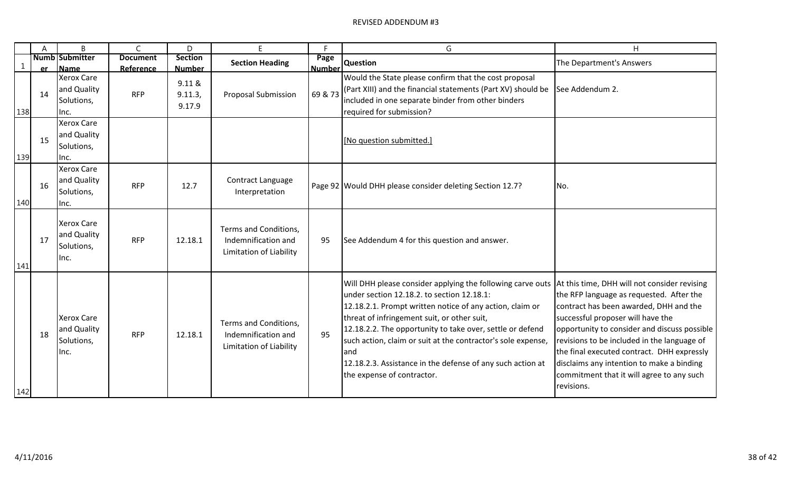|             | A         | B                                                              | $\mathsf{C}$            | D                                            | E                                                                       | F                        | G                                                                                                                                                                                                                                                                                                                                                                                                                                                                                                  | H                                                                                                                                                                                                                                                                                                                                                                            |
|-------------|-----------|----------------------------------------------------------------|-------------------------|----------------------------------------------|-------------------------------------------------------------------------|--------------------------|----------------------------------------------------------------------------------------------------------------------------------------------------------------------------------------------------------------------------------------------------------------------------------------------------------------------------------------------------------------------------------------------------------------------------------------------------------------------------------------------------|------------------------------------------------------------------------------------------------------------------------------------------------------------------------------------------------------------------------------------------------------------------------------------------------------------------------------------------------------------------------------|
| $\mathbf 1$ |           | <b>Numb Submitter</b>                                          | <b>Document</b>         | <b>Section</b>                               | <b>Section Heading</b>                                                  | Page                     | Question                                                                                                                                                                                                                                                                                                                                                                                                                                                                                           | The Department's Answers                                                                                                                                                                                                                                                                                                                                                     |
| 138         | er.<br>14 | Name<br><b>Xerox Care</b><br>and Quality<br>Solutions,<br>Inc. | Reference<br><b>RFP</b> | <b>Number</b><br>9.11 &<br>9.11.3,<br>9.17.9 | <b>Proposal Submission</b>                                              | <b>Number</b><br>69 & 73 | Would the State please confirm that the cost proposal<br>(Part XIII) and the financial statements (Part XV) should be<br>included in one separate binder from other binders<br>required for submission?                                                                                                                                                                                                                                                                                            | See Addendum 2.                                                                                                                                                                                                                                                                                                                                                              |
| 139         | 15        | <b>Xerox Care</b><br>and Quality<br>Solutions,<br>Inc.         |                         |                                              |                                                                         |                          | [No question submitted.]                                                                                                                                                                                                                                                                                                                                                                                                                                                                           |                                                                                                                                                                                                                                                                                                                                                                              |
| 140         | 16        | <b>Xerox Care</b><br>and Quality<br>Solutions,<br>Inc.         | <b>RFP</b>              | 12.7                                         | Contract Language<br>Interpretation                                     |                          | Page 92   Would DHH please consider deleting Section 12.7?                                                                                                                                                                                                                                                                                                                                                                                                                                         | No.                                                                                                                                                                                                                                                                                                                                                                          |
| 141         | 17        | <b>Xerox Care</b><br>and Quality<br>Solutions,<br>Inc.         | <b>RFP</b>              | 12.18.1                                      | Terms and Conditions,<br>Indemnification and<br>Limitation of Liability | 95                       | See Addendum 4 for this question and answer.                                                                                                                                                                                                                                                                                                                                                                                                                                                       |                                                                                                                                                                                                                                                                                                                                                                              |
| 142         | 18        | <b>Xerox Care</b><br>and Quality<br>Solutions,<br>Inc.         | <b>RFP</b>              | 12.18.1                                      | Terms and Conditions,<br>Indemnification and<br>Limitation of Liability | 95                       | Will DHH please consider applying the following carve outs   At this time, DHH will not consider revising<br>under section 12.18.2. to section 12.18.1:<br>12.18.2.1. Prompt written notice of any action, claim or<br>threat of infringement suit, or other suit,<br>12.18.2.2. The opportunity to take over, settle or defend<br>such action, claim or suit at the contractor's sole expense,<br>and<br>12.18.2.3. Assistance in the defense of any such action at<br>the expense of contractor. | the RFP language as requested. After the<br>contract has been awarded, DHH and the<br>successful proposer will have the<br>opportunity to consider and discuss possible<br>revisions to be included in the language of<br>the final executed contract. DHH expressly<br>disclaims any intention to make a binding<br>commitment that it will agree to any such<br>revisions. |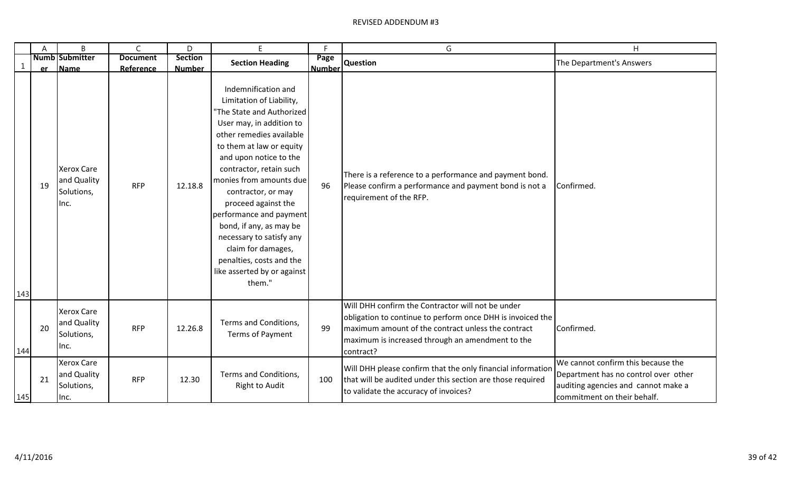|     | A  | B                                                       | $\mathsf{C}$    | D              | E                                                                                                                                                                                                                                                                                                                                                                                                                                                                          | F.            | G                                                                                                                                                                                                                                      | H                                                                                                                                                |
|-----|----|---------------------------------------------------------|-----------------|----------------|----------------------------------------------------------------------------------------------------------------------------------------------------------------------------------------------------------------------------------------------------------------------------------------------------------------------------------------------------------------------------------------------------------------------------------------------------------------------------|---------------|----------------------------------------------------------------------------------------------------------------------------------------------------------------------------------------------------------------------------------------|--------------------------------------------------------------------------------------------------------------------------------------------------|
|     |    | Numb Submitter                                          | <b>Document</b> | <b>Section</b> | <b>Section Heading</b>                                                                                                                                                                                                                                                                                                                                                                                                                                                     | Page          | <b>Question</b>                                                                                                                                                                                                                        | The Department's Answers                                                                                                                         |
|     | er | <b>Name</b>                                             | Reference       | <b>Number</b>  |                                                                                                                                                                                                                                                                                                                                                                                                                                                                            | <b>Number</b> |                                                                                                                                                                                                                                        |                                                                                                                                                  |
|     | 19 | <b>Xerox Care</b><br>and Quality<br>Solutions,<br>llnc. | <b>RFP</b>      | 12.18.8        | Indemnification and<br>Limitation of Liability,<br>"The State and Authorized<br>User may, in addition to<br>other remedies available<br>to them at law or equity<br>and upon notice to the<br>contractor, retain such<br>monies from amounts due<br>contractor, or may<br>proceed against the<br>performance and payment<br>bond, if any, as may be<br>necessary to satisfy any<br>claim for damages,<br>penalties, costs and the<br>like asserted by or against<br>them." | 96            | There is a reference to a performance and payment bond.<br>Please confirm a performance and payment bond is not a<br>requirement of the RFP.                                                                                           | Confirmed.                                                                                                                                       |
| 143 |    |                                                         |                 |                |                                                                                                                                                                                                                                                                                                                                                                                                                                                                            |               |                                                                                                                                                                                                                                        |                                                                                                                                                  |
| 144 | 20 | <b>Xerox Care</b><br>and Quality<br>Solutions,<br>Inc.  | <b>RFP</b>      | 12.26.8        | Terms and Conditions,<br>Terms of Payment                                                                                                                                                                                                                                                                                                                                                                                                                                  | 99            | Will DHH confirm the Contractor will not be under<br>obligation to continue to perform once DHH is invoiced the<br>maximum amount of the contract unless the contract<br>maximum is increased through an amendment to the<br>contract? | Confirmed.                                                                                                                                       |
| 145 | 21 | <b>Xerox Care</b><br>and Quality<br>Solutions,<br>Inc.  | <b>RFP</b>      | 12.30          | Terms and Conditions,<br><b>Right to Audit</b>                                                                                                                                                                                                                                                                                                                                                                                                                             | 100           | Will DHH please confirm that the only financial information<br>that will be audited under this section are those required<br>to validate the accuracy of invoices?                                                                     | We cannot confirm this because the<br>Department has no control over other<br>auditing agencies and cannot make a<br>commitment on their behalf. |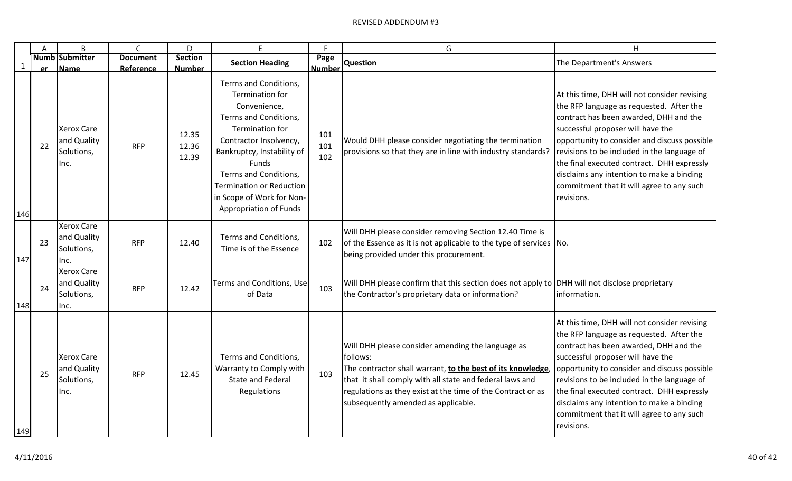|     | A  | B                                                      | $\mathsf{C}$                 | D                               | F                                                                                                                                                                                                                                                                                               | F                     | G                                                                                                                                                                                                                                                                                              | H                                                                                                                                                                                                                                                                                                                                                                                                                            |
|-----|----|--------------------------------------------------------|------------------------------|---------------------------------|-------------------------------------------------------------------------------------------------------------------------------------------------------------------------------------------------------------------------------------------------------------------------------------------------|-----------------------|------------------------------------------------------------------------------------------------------------------------------------------------------------------------------------------------------------------------------------------------------------------------------------------------|------------------------------------------------------------------------------------------------------------------------------------------------------------------------------------------------------------------------------------------------------------------------------------------------------------------------------------------------------------------------------------------------------------------------------|
| 1   | er | <b>Numb Submitter</b><br>Name                          | <b>Document</b><br>Reference | <b>Section</b><br><b>Number</b> | <b>Section Heading</b>                                                                                                                                                                                                                                                                          | Page<br><b>Number</b> | <b>Question</b>                                                                                                                                                                                                                                                                                | The Department's Answers                                                                                                                                                                                                                                                                                                                                                                                                     |
| 146 | 22 | <b>Xerox Care</b><br>and Quality<br>Solutions,<br>Inc. | <b>RFP</b>                   | 12.35<br>12.36<br>12.39         | Terms and Conditions,<br>Termination for<br>Convenience,<br>Terms and Conditions,<br><b>Termination for</b><br>Contractor Insolvency,<br>Bankruptcy, Instability of<br>Funds<br>Terms and Conditions,<br><b>Termination or Reduction</b><br>in Scope of Work for Non-<br>Appropriation of Funds | 101<br>101<br>102     | Would DHH please consider negotiating the termination<br>provisions so that they are in line with industry standards?                                                                                                                                                                          | At this time, DHH will not consider revising<br>the RFP language as requested. After the<br>contract has been awarded, DHH and the<br>successful proposer will have the<br>opportunity to consider and discuss possible<br>revisions to be included in the language of<br>the final executed contract. DHH expressly<br>disclaims any intention to make a binding<br>commitment that it will agree to any such<br>revisions. |
| 147 | 23 | <b>Xerox Care</b><br>and Quality<br>Solutions,<br>Inc. | <b>RFP</b>                   | 12.40                           | Terms and Conditions,<br>Time is of the Essence                                                                                                                                                                                                                                                 | 102                   | Will DHH please consider removing Section 12.40 Time is<br>of the Essence as it is not applicable to the type of services No.<br>being provided under this procurement.                                                                                                                        |                                                                                                                                                                                                                                                                                                                                                                                                                              |
| 148 | 24 | <b>Xerox Care</b><br>and Quality<br>Solutions,<br>Inc. | <b>RFP</b>                   | 12.42                           | Terms and Conditions, Use<br>of Data                                                                                                                                                                                                                                                            | 103                   | Will DHH please confirm that this section does not apply to DHH will not disclose proprietary<br>the Contractor's proprietary data or information?                                                                                                                                             | information.                                                                                                                                                                                                                                                                                                                                                                                                                 |
| 149 | 25 | <b>Xerox Care</b><br>and Quality<br>Solutions,<br>Inc. | <b>RFP</b>                   | 12.45                           | Terms and Conditions,<br>Warranty to Comply with<br><b>State and Federal</b><br>Regulations                                                                                                                                                                                                     | 103                   | Will DHH please consider amending the language as<br>follows:<br>The contractor shall warrant, to the best of its knowledge,<br>that it shall comply with all state and federal laws and<br>regulations as they exist at the time of the Contract or as<br>subsequently amended as applicable. | At this time, DHH will not consider revising<br>the RFP language as requested. After the<br>contract has been awarded, DHH and the<br>successful proposer will have the<br>opportunity to consider and discuss possible<br>revisions to be included in the language of<br>the final executed contract. DHH expressly<br>disclaims any intention to make a binding<br>commitment that it will agree to any such<br>revisions. |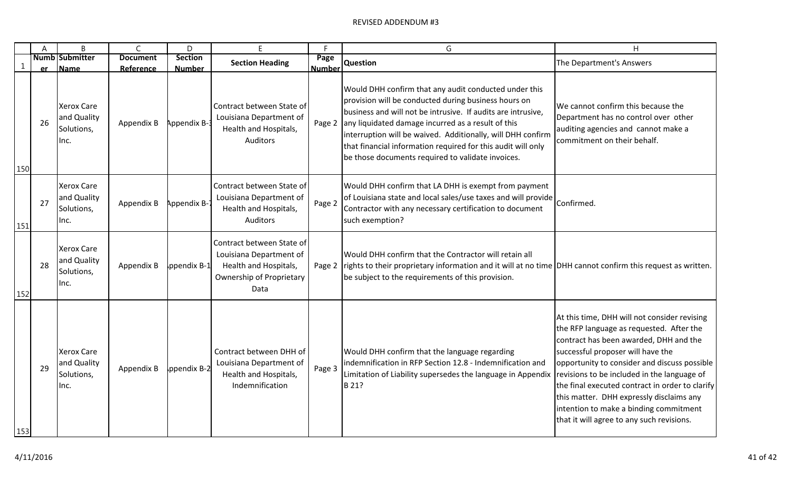|              | Α  | B                                                      | $\mathsf{C}$                 | D                               | E.                                                                                                                       | F                     | G                                                                                                                                                                                                                                                                                                                                                                                                                       | H                                                                                                                                                                                                                                                                                                                                                                                                                                                            |
|--------------|----|--------------------------------------------------------|------------------------------|---------------------------------|--------------------------------------------------------------------------------------------------------------------------|-----------------------|-------------------------------------------------------------------------------------------------------------------------------------------------------------------------------------------------------------------------------------------------------------------------------------------------------------------------------------------------------------------------------------------------------------------------|--------------------------------------------------------------------------------------------------------------------------------------------------------------------------------------------------------------------------------------------------------------------------------------------------------------------------------------------------------------------------------------------------------------------------------------------------------------|
| $\mathbf{1}$ | er | <b>Numb Submitter</b><br><b>Name</b>                   | <b>Document</b><br>Reference | <b>Section</b><br><b>Number</b> | <b>Section Heading</b>                                                                                                   | Page<br><b>Number</b> | <b>Question</b>                                                                                                                                                                                                                                                                                                                                                                                                         | The Department's Answers                                                                                                                                                                                                                                                                                                                                                                                                                                     |
| 150          | 26 | <b>Xerox Care</b><br>and Quality<br>Solutions,<br>Inc. | Appendix B                   | Appendix B-3                    | Contract between State of<br>Louisiana Department of<br>Health and Hospitals,<br>Auditors                                | Page 2                | Would DHH confirm that any audit conducted under this<br>provision will be conducted during business hours on<br>business and will not be intrusive. If audits are intrusive,<br>any liquidated damage incurred as a result of this<br>interruption will be waived. Additionally, will DHH confirm<br>that financial information required for this audit will only<br>be those documents required to validate invoices. | We cannot confirm this because the<br>Department has no control over other<br>auditing agencies and cannot make a<br>commitment on their behalf.                                                                                                                                                                                                                                                                                                             |
| 151          | 27 | <b>Xerox Care</b><br>and Quality<br>Solutions,<br>Inc. | Appendix B                   | Appendix B-7                    | Contract between State of<br>Louisiana Department of<br>Health and Hospitals,<br>Auditors                                | Page 2                | Would DHH confirm that LA DHH is exempt from payment<br>of Louisiana state and local sales/use taxes and will provide<br>Contractor with any necessary certification to document<br>such exemption?                                                                                                                                                                                                                     | Confirmed.                                                                                                                                                                                                                                                                                                                                                                                                                                                   |
| 152          | 28 | <b>Xerox Care</b><br>and Quality<br>Solutions,<br>lnc. | Appendix B                   | ppendix B-1                     | Contract between State of<br>Louisiana Department of<br>Health and Hospitals,<br><b>Ownership of Proprietary</b><br>Data |                       | Would DHH confirm that the Contractor will retain all<br>Page 2 rights to their proprietary information and it will at no time DHH cannot confirm this request as written.<br>be subject to the requirements of this provision.                                                                                                                                                                                         |                                                                                                                                                                                                                                                                                                                                                                                                                                                              |
| 153          | 29 | <b>Xerox Care</b><br>and Quality<br>Solutions,<br>Inc. | Appendix B                   | ppendix B-2                     | Contract between DHH of<br>Louisiana Department of<br>Health and Hospitals,<br>Indemnification                           | Page 3                | Would DHH confirm that the language regarding<br>indemnification in RFP Section 12.8 - Indemnification and<br>Limitation of Liability supersedes the language in Appendix<br>B 21?                                                                                                                                                                                                                                      | At this time, DHH will not consider revising<br>the RFP language as requested. After the<br>contract has been awarded, DHH and the<br>successful proposer will have the<br>opportunity to consider and discuss possible<br>revisions to be included in the language of<br>the final executed contract in order to clarify<br>this matter. DHH expressly disclaims any<br>intention to make a binding commitment<br>that it will agree to any such revisions. |